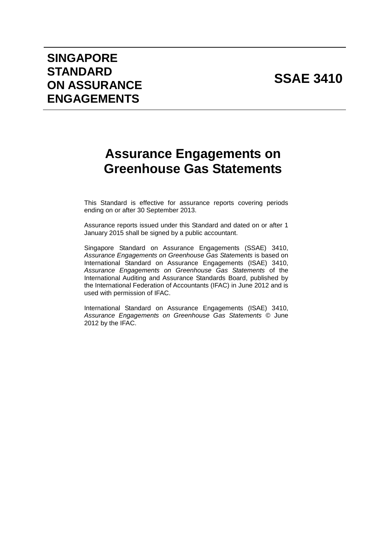# **SSAE 3410**

# **SINGAPORE STANDARD ON ASSURANCE ENGAGEMENTS**

# **Assurance Engagements on Greenhouse Gas Statements**

This Standard is effective for assurance reports covering periods ending on or after 30 September 2013.

Assurance reports issued under this Standard and dated on or after 1 January 2015 shall be signed by a public accountant.

Singapore Standard on Assurance Engagements (SSAE) 3410, *Assurance Engagements on Greenhouse Gas Statements* is based on International Standard on Assurance Engagements (ISAE) 3410, *Assurance Engagements on Greenhouse Gas Statements* of the International Auditing and Assurance Standards Board, published by the International Federation of Accountants (IFAC) in June 2012 and is used with permission of IFAC.

International Standard on Assurance Engagements (ISAE) 3410, *Assurance Engagements on Greenhouse Gas Statements* © June 2012 by the IFAC.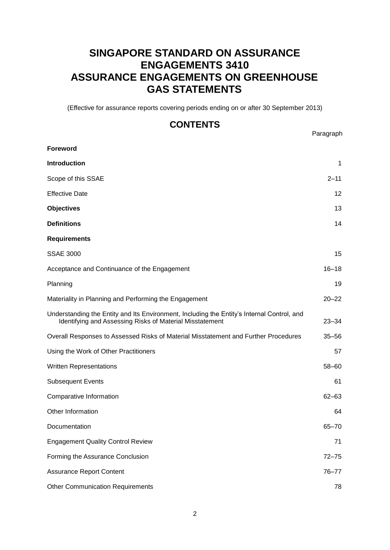# **SINGAPORE STANDARD ON ASSURANCE ENGAGEMENTS 3410 ASSURANCE ENGAGEMENTS ON GREENHOUSE GAS STATEMENTS**

(Effective for assurance reports covering periods ending on or after 30 September 2013)

# **CONTENTS**

#### Paragraph

| <b>Foreword</b>                                                                                                                                        |           |
|--------------------------------------------------------------------------------------------------------------------------------------------------------|-----------|
| <b>Introduction</b>                                                                                                                                    | 1         |
| Scope of this SSAE                                                                                                                                     | $2 - 11$  |
| <b>Effective Date</b>                                                                                                                                  | 12        |
| <b>Objectives</b>                                                                                                                                      | 13        |
| <b>Definitions</b>                                                                                                                                     | 14        |
| <b>Requirements</b>                                                                                                                                    |           |
| <b>SSAE 3000</b>                                                                                                                                       | 15        |
| Acceptance and Continuance of the Engagement                                                                                                           | $16 - 18$ |
| Planning                                                                                                                                               | 19        |
| Materiality in Planning and Performing the Engagement                                                                                                  | $20 - 22$ |
| Understanding the Entity and Its Environment, Including the Entity's Internal Control, and<br>Identifying and Assessing Risks of Material Misstatement | $23 - 34$ |
| Overall Responses to Assessed Risks of Material Misstatement and Further Procedures                                                                    | $35 - 56$ |
| Using the Work of Other Practitioners                                                                                                                  | 57        |
| <b>Written Representations</b>                                                                                                                         | 58-60     |
| <b>Subsequent Events</b>                                                                                                                               | 61        |
| Comparative Information                                                                                                                                | $62 - 63$ |
| Other Information                                                                                                                                      | 64        |
| Documentation                                                                                                                                          | $65 - 70$ |
| <b>Engagement Quality Control Review</b>                                                                                                               | 71        |
| Forming the Assurance Conclusion                                                                                                                       | $72 - 75$ |
| <b>Assurance Report Content</b>                                                                                                                        | 76-77     |
| <b>Other Communication Requirements</b>                                                                                                                | 78        |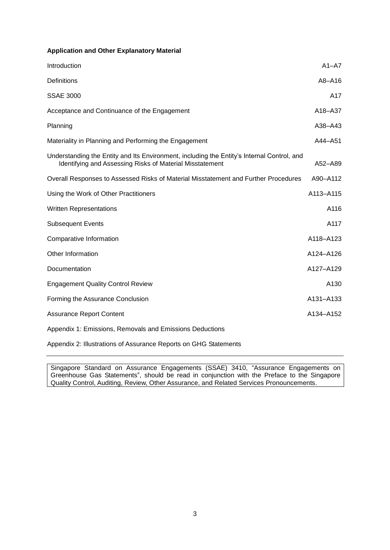## **Application and Other Explanatory Material**

| Introduction                                                                                                                                           | $A1 - A7$ |
|--------------------------------------------------------------------------------------------------------------------------------------------------------|-----------|
| Definitions                                                                                                                                            | A8-A16    |
| <b>SSAE 3000</b>                                                                                                                                       | A17       |
| Acceptance and Continuance of the Engagement                                                                                                           | A18-A37   |
| Planning                                                                                                                                               | A38-A43   |
| Materiality in Planning and Performing the Engagement                                                                                                  | A44-A51   |
| Understanding the Entity and Its Environment, including the Entity's Internal Control, and<br>Identifying and Assessing Risks of Material Misstatement | A52-A89   |
| Overall Responses to Assessed Risks of Material Misstatement and Further Procedures                                                                    | A90-A112  |
| Using the Work of Other Practitioners                                                                                                                  | A113-A115 |
| <b>Written Representations</b>                                                                                                                         | A116      |
| <b>Subsequent Events</b>                                                                                                                               | A117      |
| Comparative Information                                                                                                                                | A118-A123 |
| Other Information                                                                                                                                      | A124-A126 |
| Documentation                                                                                                                                          | A127-A129 |
| <b>Engagement Quality Control Review</b>                                                                                                               | A130      |
| Forming the Assurance Conclusion                                                                                                                       | A131-A133 |
| <b>Assurance Report Content</b>                                                                                                                        | A134-A152 |
| Appendix 1: Emissions, Removals and Emissions Deductions                                                                                               |           |
| Appendix 2: Illustrations of Assurance Reports on GHG Statements                                                                                       |           |

Singapore Standard on Assurance Engagements (SSAE) 3410, "Assurance Engagements on Greenhouse Gas Statements", should be read in conjunction with the Preface to the Singapore Quality Control, Auditing, Review, Other Assurance, and Related Services Pronouncements.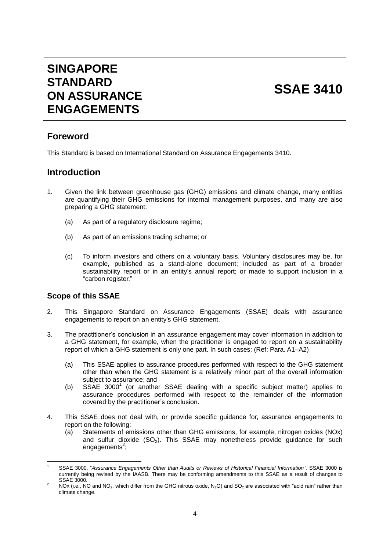# **SINGAPORE STANDARD ON ASSURANCE ENGAGEMENTS**

# **SSAE 3410**

## **Foreword**

This Standard is based on International Standard on Assurance Engagements 3410.

## **Introduction**

- 1. Given the link between greenhouse gas (GHG) emissions and climate change, many entities are quantifying their GHG emissions for internal management purposes, and many are also preparing a GHG statement:
	- (a) As part of a regulatory disclosure regime;
	- (b) As part of an emissions trading scheme; or
	- (c) To inform investors and others on a voluntary basis. Voluntary disclosures may be, for example, published as a stand-alone document; included as part of a broader sustainability report or in an entity's annual report; or made to support inclusion in a "carbon register."

## **Scope of this SSAE**

- 2. This Singapore Standard on Assurance Engagements (SSAE) deals with assurance engagements to report on an entity's GHG statement.
- 3. The practitioner's conclusion in an assurance engagement may cover information in addition to a GHG statement, for example, when the practitioner is engaged to report on a sustainability report of which a GHG statement is only one part. In such cases: (Ref: Para. A1–A2)
	- (a) This SSAE applies to assurance procedures performed with respect to the GHG statement other than when the GHG statement is a relatively minor part of the overall information subject to assurance; and
	- $(b)$  SSAE 3000<sup>1</sup> (or another SSAE dealing with a specific subject matter) applies to assurance procedures performed with respect to the remainder of the information covered by the practitioner's conclusion.
- 4. This SSAE does not deal with, or provide specific guidance for, assurance engagements to report on the following:
	- (a) Statements of emissions other than GHG emissions, for example, nitrogen oxides (NOx) and sulfur dioxide  $(SO<sub>2</sub>)$ . This SSAE may nonetheless provide guidance for such engagements<sup>2</sup>;

<sup>&</sup>lt;u>.</u> <sup>1</sup> SSAE 3000, "*Assurance Engagements Other than Audits or Reviews of Historical Financial Information".* SSAE 3000 is currently being revised by the IAASB. There may be conforming amendments to this SSAE as a result of changes to SSAE 3000.

NOx (i.e., NO and NO<sub>2</sub>, which differ from the GHG nitrous oxide, N<sub>2</sub>O) and SO<sub>2</sub> are associated with "acid rain" rather than climate change.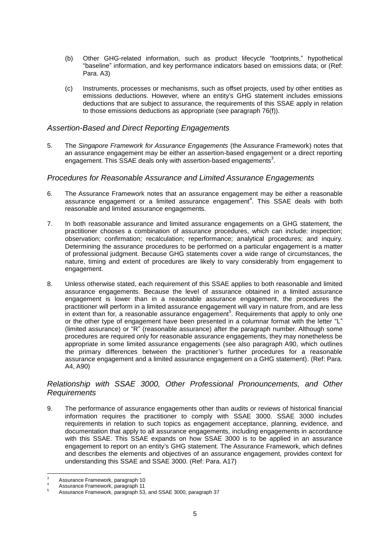- (b) Other GHG-related information, such as product lifecycle "footprints," hypothetical "baseline" information, and key performance indicators based on emissions data; or (Ref: Para. A3)
- (c) Instruments, processes or mechanisms, such as offset projects, used by other entities as emissions deductions. However, where an entity's GHG statement includes emissions deductions that are subject to assurance, the requirements of this SSAE apply in relation to those emissions deductions as appropriate (see paragraph 76(f)).

## *Assertion-Based and Direct Reporting Engagements*

5. The *Singapore Framework for Assurance Engagements* (the Assurance Framework) notes that an assurance engagement may be either an assertion-based engagement or a direct reporting engagement. This SSAE deals only with assertion-based engagements<sup>3</sup>.

## *Procedures for Reasonable Assurance and Limited Assurance Engagements*

- 6. The Assurance Framework notes that an assurance engagement may be either a reasonable assurance engagement or a limited assurance engagement<sup>4</sup>. This SSAE deals with both reasonable and limited assurance engagements.
- 7. In both reasonable assurance and limited assurance engagements on a GHG statement, the practitioner chooses a combination of assurance procedures, which can include: inspection; observation; confirmation; recalculation; reperformance; analytical procedures; and inquiry. Determining the assurance procedures to be performed on a particular engagement is a matter of professional judgment. Because GHG statements cover a wide range of circumstances, the nature, timing and extent of procedures are likely to vary considerably from engagement to engagement.
- 8. Unless otherwise stated, each requirement of this SSAE applies to both reasonable and limited assurance engagements. Because the level of assurance obtained in a limited assurance engagement is lower than in a reasonable assurance engagement, the procedures the practitioner will perform in a limited assurance engagement will vary in nature from, and are less in extent than for, a reasonable assurance engagement<sup>5</sup>. Requirements that apply to only one or the other type of engagement have been presented in a columnar format with the letter "L" (limited assurance) or "R" (reasonable assurance) after the paragraph number. Although some procedures are required only for reasonable assurance engagements, they may nonetheless be appropriate in some limited assurance engagements (see also paragraph A90, which outlines the primary differences between the practitioner's further procedures for a reasonable assurance engagement and a limited assurance engagement on a GHG statement). (Ref: Para. A4, A90)

## *Relationship with SSAE 3000, Other Professional Pronouncements, and Other Requirements*

9. The performance of assurance engagements other than audits or reviews of historical financial information requires the practitioner to comply with SSAE 3000. SSAE 3000 includes requirements in relation to such topics as engagement acceptance, planning, evidence, and documentation that apply to all assurance engagements, including engagements in accordance with this SSAE. This SSAE expands on how SSAE 3000 is to be applied in an assurance engagement to report on an entity's GHG statement. The Assurance Framework, which defines and describes the elements and objectives of an assurance engagement, provides context for understanding this SSAE and SSAE 3000. (Ref: Para. A17)

 $\overline{3}$ <sup>3</sup> Assurance Framework, paragraph 10

<sup>4</sup> Assurance Framework, paragraph 11

<sup>5</sup> Assurance Framework, paragraph 53, and SSAE 3000, paragraph 37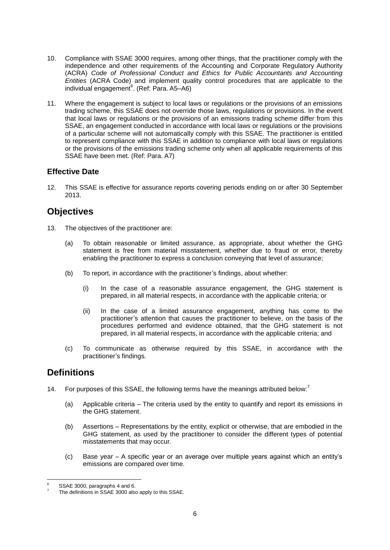- 10. Compliance with SSAE 3000 requires, among other things, that the practitioner comply with the independence and other requirements of the Accounting and Corporate Regulatory Authority (ACRA) *Code of Professional Conduct and Ethics for Public Accountants and Accounting Entities* (ACRA Code) and implement quality control procedures that are applicable to the individual engagement<sup>6</sup>. (Ref: Para. A5-A6)
- 11. Where the engagement is subject to local laws or regulations or the provisions of an emissions trading scheme, this SSAE does not override those laws, regulations or provisions. In the event that local laws or regulations or the provisions of an emissions trading scheme differ from this SSAE, an engagement conducted in accordance with local laws or regulations or the provisions of a particular scheme will not automatically comply with this SSAE. The practitioner is entitled to represent compliance with this SSAE in addition to compliance with local laws or regulations or the provisions of the emissions trading scheme only when all applicable requirements of this SSAE have been met. (Ref: Para. A7)

## **Effective Date**

12. This SSAE is effective for assurance reports covering periods ending on or after 30 September 2013.

## **Objectives**

- 13. The objectives of the practitioner are:
	- (a) To obtain reasonable or limited assurance, as appropriate, about whether the GHG statement is free from material misstatement, whether due to fraud or error, thereby enabling the practitioner to express a conclusion conveying that level of assurance;
	- (b) To report, in accordance with the practitioner's findings, about whether:
		- (i) In the case of a reasonable assurance engagement, the GHG statement is prepared, in all material respects, in accordance with the applicable criteria; or
		- (ii) In the case of a limited assurance engagement, anything has come to the practitioner's attention that causes the practitioner to believe, on the basis of the procedures performed and evidence obtained, that the GHG statement is not prepared, in all material respects, in accordance with the applicable criteria; and
	- (c) To communicate as otherwise required by this SSAE, in accordance with the practitioner's findings.

## **Definitions**

- 14. For purposes of this SSAE, the following terms have the meanings attributed below:
	- (a) Applicable criteria The criteria used by the entity to quantify and report its emissions in the GHG statement.
	- (b) Assertions Representations by the entity, explicit or otherwise, that are embodied in the GHG statement, as used by the practitioner to consider the different types of potential misstatements that may occur.
	- (c) Base year A specific year or an average over multiple years against which an entity's emissions are compared over time.

<sup>1</sup> SSAE 3000, paragraphs 4 and 6.

<sup>7</sup> The definitions in SSAE 3000 also apply to this SSAE.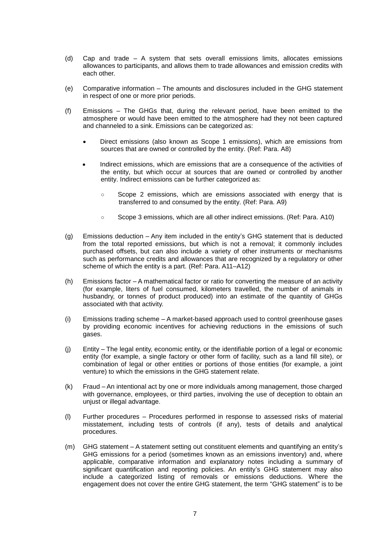- (d) Cap and trade A system that sets overall emissions limits, allocates emissions allowances to participants, and allows them to trade allowances and emission credits with each other.
- (e) Comparative information The amounts and disclosures included in the GHG statement in respect of one or more prior periods.
- (f) Emissions The GHGs that, during the relevant period, have been emitted to the atmosphere or would have been emitted to the atmosphere had they not been captured and channeled to a sink. Emissions can be categorized as:
	- Direct emissions (also known as Scope 1 emissions), which are emissions from sources that are owned or controlled by the entity. (Ref: Para. A8)
	- Indirect emissions, which are emissions that are a consequence of the activities of the entity, but which occur at sources that are owned or controlled by another entity. Indirect emissions can be further categorized as:
		- Scope 2 emissions, which are emissions associated with energy that is transferred to and consumed by the entity. (Ref: Para. A9)
		- Scope 3 emissions, which are all other indirect emissions. (Ref: Para. A10)
- (g) Emissions deduction Any item included in the entity's GHG statement that is deducted from the total reported emissions, but which is not a removal; it commonly includes purchased offsets, but can also include a variety of other instruments or mechanisms such as performance credits and allowances that are recognized by a regulatory or other scheme of which the entity is a part. (Ref: Para. A11–A12)
- (h) Emissions factor A mathematical factor or ratio for converting the measure of an activity (for example, liters of fuel consumed, kilometers travelled, the number of animals in husbandry, or tonnes of product produced) into an estimate of the quantity of GHGs associated with that activity.
- (i) Emissions trading scheme A market-based approach used to control greenhouse gases by providing economic incentives for achieving reductions in the emissions of such gases.
- (j) Entity The legal entity, economic entity, or the identifiable portion of a legal or economic entity (for example, a single factory or other form of facility, such as a land fill site), or combination of legal or other entities or portions of those entities (for example, a joint venture) to which the emissions in the GHG statement relate.
- (k) Fraud An intentional act by one or more individuals among management, those charged with governance, employees, or third parties, involving the use of deception to obtain an unjust or illegal advantage.
- (l) Further procedures Procedures performed in response to assessed risks of material misstatement, including tests of controls (if any), tests of details and analytical procedures.
- (m) GHG statement A statement setting out constituent elements and quantifying an entity's GHG emissions for a period (sometimes known as an emissions inventory) and, where applicable, comparative information and explanatory notes including a summary of significant quantification and reporting policies. An entity's GHG statement may also include a categorized listing of removals or emissions deductions. Where the engagement does not cover the entire GHG statement, the term "GHG statement" is to be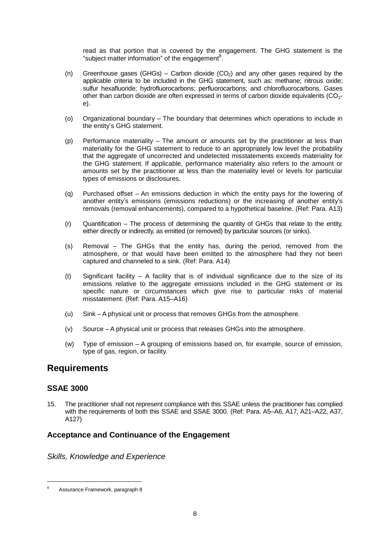read as that portion that is covered by the engagement. The GHG statement is the "subject matter information" of the engagement<sup>8</sup>.

- (n) Greenhouse gases (GHGs) Carbon dioxide (CO<sub>2</sub>) and any other gases required by the applicable criteria to be included in the GHG statement, such as: methane; nitrous oxide; sulfur hexafluoride; hydrofluorocarbons; perfluorocarbons; and chlorofluorocarbons. Gases other than carbon dioxide are often expressed in terms of carbon dioxide equivalents  $(CO<sub>2</sub>$ e).
- (o) Organizational boundary The boundary that determines which operations to include in the entity's GHG statement.
- (p) Performance materiality The amount or amounts set by the practitioner at less than materiality for the GHG statement to reduce to an appropriately low level the probability that the aggregate of uncorrected and undetected misstatements exceeds materiality for the GHG statement. If applicable, performance materiality also refers to the amount or amounts set by the practitioner at less than the materiality level or levels for particular types of emissions or disclosures.
- (q) Purchased offset An emissions deduction in which the entity pays for the lowering of another entity's emissions (emissions reductions) or the increasing of another entity's removals (removal enhancements), compared to a hypothetical baseline. (Ref: Para. A13)
- (r) Quantification The process of determining the quantity of GHGs that relate to the entity, either directly or indirectly, as emitted (or removed) by particular sources (or sinks).
- (s) Removal The GHGs that the entity has, during the period, removed from the atmosphere, or that would have been emitted to the atmosphere had they not been captured and channeled to a sink. (Ref: Para. A14)
- (t) Significant facility A facility that is of individual significance due to the size of its emissions relative to the aggregate emissions included in the GHG statement or its specific nature or circumstances which give rise to particular risks of material misstatement. (Ref: Para. A15–A16)
- (u) Sink A physical unit or process that removes GHGs from the atmosphere.
- (v) Source A physical unit or process that releases GHGs into the atmosphere.
- (w) Type of emission A grouping of emissions based on, for example, source of emission, type of gas, region, or facility.

## **Requirements**

## **SSAE 3000**

1

15. The practitioner shall not represent compliance with this SSAE unless the practitioner has complied with the requirements of both this SSAE and SSAE 3000. (Ref: Para. A5–A6, A17, A21–A22, A37, A127)

## **Acceptance and Continuance of the Engagement**

*Skills, Knowledge and Experience*

<sup>8</sup> Assurance Framework, paragraph 8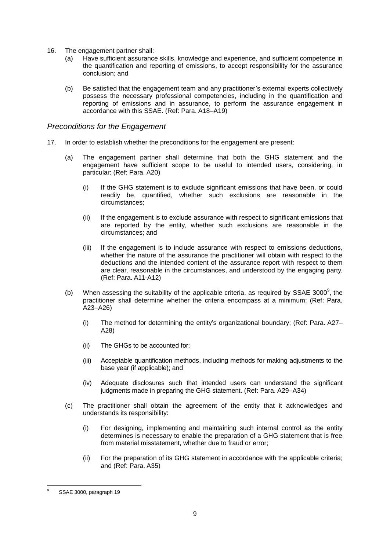- 16. The engagement partner shall:
	- (a) Have sufficient assurance skills, knowledge and experience, and sufficient competence in the quantification and reporting of emissions, to accept responsibility for the assurance conclusion; and
	- (b) Be satisfied that the engagement team and any practitioner's external experts collectively possess the necessary professional competencies, including in the quantification and reporting of emissions and in assurance, to perform the assurance engagement in accordance with this SSAE. (Ref: Para. A18–A19)

#### *Preconditions for the Engagement*

- 17. In order to establish whether the preconditions for the engagement are present:
	- (a) The engagement partner shall determine that both the GHG statement and the engagement have sufficient scope to be useful to intended users, considering, in particular: (Ref: Para. A20)
		- (i) If the GHG statement is to exclude significant emissions that have been, or could readily be, quantified, whether such exclusions are reasonable in the circumstances;
		- (ii) If the engagement is to exclude assurance with respect to significant emissions that are reported by the entity, whether such exclusions are reasonable in the circumstances; and
		- (iii) If the engagement is to include assurance with respect to emissions deductions, whether the nature of the assurance the practitioner will obtain with respect to the deductions and the intended content of the assurance report with respect to them are clear, reasonable in the circumstances, and understood by the engaging party. (Ref: Para. A11-A12)
	- (b) When assessing the suitability of the applicable criteria, as required by SSAE 3000 $^9$ , the practitioner shall determine whether the criteria encompass at a minimum: (Ref: Para. A23–A26)
		- (i) The method for determining the entity's organizational boundary; (Ref: Para. A27– A28)
		- (ii) The GHGs to be accounted for;
		- (iii) Acceptable quantification methods, including methods for making adjustments to the base year (if applicable); and
		- (iv) Adequate disclosures such that intended users can understand the significant judgments made in preparing the GHG statement. (Ref: Para. A29–A34)
	- (c) The practitioner shall obtain the agreement of the entity that it acknowledges and understands its responsibility:
		- (i) For designing, implementing and maintaining such internal control as the entity determines is necessary to enable the preparation of a GHG statement that is free from material misstatement, whether due to fraud or error;
		- (ii) For the preparation of its GHG statement in accordance with the applicable criteria; and (Ref: Para. A35)

<sup>1</sup> SSAE 3000, paragraph 19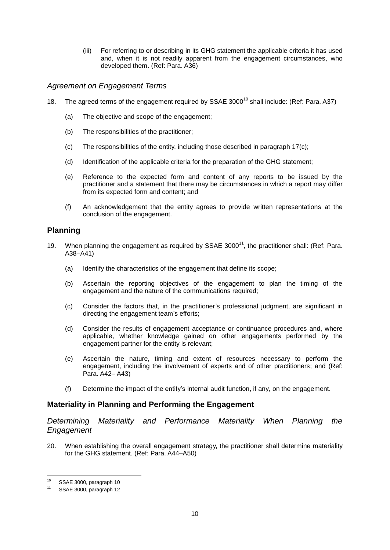(iii) For referring to or describing in its GHG statement the applicable criteria it has used and, when it is not readily apparent from the engagement circumstances, who developed them. (Ref: Para. A36)

## *Agreement on Engagement Terms*

- 18. The agreed terms of the engagement required by SSAE 3000<sup>10</sup> shall include: (Ref: Para. A37)
	- (a) The objective and scope of the engagement;
	- (b) The responsibilities of the practitioner;
	- (c) The responsibilities of the entity, including those described in paragraph 17(c);
	- (d) Identification of the applicable criteria for the preparation of the GHG statement;
	- (e) Reference to the expected form and content of any reports to be issued by the practitioner and a statement that there may be circumstances in which a report may differ from its expected form and content; and
	- (f) An acknowledgement that the entity agrees to provide written representations at the conclusion of the engagement.

## **Planning**

- 19. When planning the engagement as required by SSAE 3000<sup>11</sup>, the practitioner shall: (Ref: Para. A38–A41)
	- (a) Identify the characteristics of the engagement that define its scope;
	- (b) Ascertain the reporting objectives of the engagement to plan the timing of the engagement and the nature of the communications required;
	- (c) Consider the factors that, in the practitioner's professional judgment, are significant in directing the engagement team's efforts;
	- (d) Consider the results of engagement acceptance or continuance procedures and, where applicable, whether knowledge gained on other engagements performed by the engagement partner for the entity is relevant;
	- (e) Ascertain the nature, timing and extent of resources necessary to perform the engagement, including the involvement of experts and of other practitioners; and (Ref: Para. A42*–* A43)
	- (f) Determine the impact of the entity's internal audit function, if any, on the engagement.

## **Materiality in Planning and Performing the Engagement**

*Determining Materiality and Performance Materiality When Planning the Engagement*

20. When establishing the overall engagement strategy, the practitioner shall determine materiality for the GHG statement. (Ref: Para. A44–A50)

1

 $^{10}$  SSAE 3000, paragraph 10<br> $^{11}$  SSAE 3000 paragraph 12

SSAE 3000, paragraph 12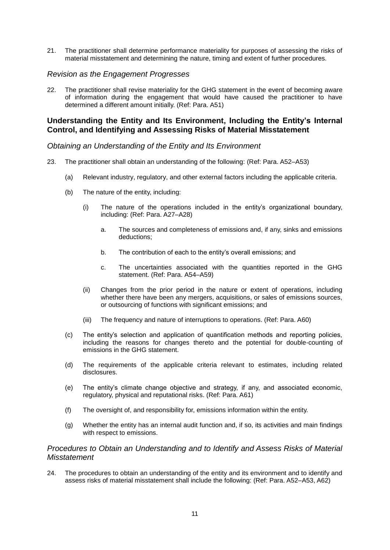21. The practitioner shall determine performance materiality for purposes of assessing the risks of material misstatement and determining the nature, timing and extent of further procedures.

## *Revision as the Engagement Progresses*

22. The practitioner shall revise materiality for the GHG statement in the event of becoming aware of information during the engagement that would have caused the practitioner to have determined a different amount initially. (Ref: Para. A51)

## **Understanding the Entity and Its Environment, Including the Entity's Internal Control, and Identifying and Assessing Risks of Material Misstatement**

#### *Obtaining an Understanding of the Entity and Its Environment*

- 23. The practitioner shall obtain an understanding of the following: (Ref: Para. A52*–*A53)
	- (a) Relevant industry, regulatory, and other external factors including the applicable criteria.
	- (b) The nature of the entity, including:
		- (i) The nature of the operations included in the entity's organizational boundary, including: (Ref: Para. A27–A28)
			- a. The sources and completeness of emissions and, if any, sinks and emissions deductions;
			- b. The contribution of each to the entity's overall emissions; and
			- c. The uncertainties associated with the quantities reported in the GHG statement. (Ref: Para. A54–A59)
		- (ii) Changes from the prior period in the nature or extent of operations, including whether there have been any mergers, acquisitions, or sales of emissions sources, or outsourcing of functions with significant emissions; and
		- (iii) The frequency and nature of interruptions to operations. (Ref: Para. A60)
	- (c) The entity's selection and application of quantification methods and reporting policies, including the reasons for changes thereto and the potential for double-counting of emissions in the GHG statement.
	- (d) The requirements of the applicable criteria relevant to estimates, including related disclosures.
	- (e) The entity's climate change objective and strategy, if any, and associated economic, regulatory, physical and reputational risks. (Ref: Para. A61)
	- (f) The oversight of, and responsibility for, emissions information within the entity.
	- (g) Whether the entity has an internal audit function and, if so, its activities and main findings with respect to emissions.

#### *Procedures to Obtain an Understanding and to Identify and Assess Risks of Material Misstatement*

24. The procedures to obtain an understanding of the entity and its environment and to identify and assess risks of material misstatement shall include the following: (Ref: Para. A52*–*A53, A62)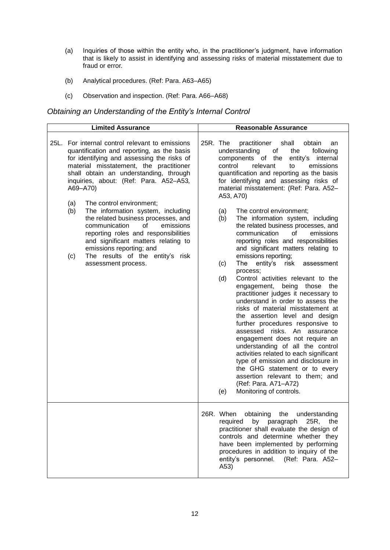- (a) Inquiries of those within the entity who, in the practitioner's judgment, have information that is likely to assist in identifying and assessing risks of material misstatement due to fraud or error.
- (b) Analytical procedures. (Ref: Para. A63–A65)
- (c) Observation and inspection. (Ref: Para. A66–A68)

## *Obtaining an Understanding of the Entity's Internal Control*

| <b>Limited Assurance</b>                                                                                                                                                                                                                                                                                                                                                                                                                                                                                                                                                                                                      | <b>Reasonable Assurance</b>                                                                                                                                                                                                                                                                                                                                                                                                                                                                                                                                                                                                                                                                                                                                                                                                                                                                                                                                                                                            |
|-------------------------------------------------------------------------------------------------------------------------------------------------------------------------------------------------------------------------------------------------------------------------------------------------------------------------------------------------------------------------------------------------------------------------------------------------------------------------------------------------------------------------------------------------------------------------------------------------------------------------------|------------------------------------------------------------------------------------------------------------------------------------------------------------------------------------------------------------------------------------------------------------------------------------------------------------------------------------------------------------------------------------------------------------------------------------------------------------------------------------------------------------------------------------------------------------------------------------------------------------------------------------------------------------------------------------------------------------------------------------------------------------------------------------------------------------------------------------------------------------------------------------------------------------------------------------------------------------------------------------------------------------------------|
| 25L. For internal control relevant to emissions<br>quantification and reporting, as the basis<br>for identifying and assessing the risks of<br>material misstatement, the practitioner<br>shall obtain an understanding, through<br>inquiries, about: (Ref: Para. A52-A53,<br>A69-A70)<br>(a)<br>The control environment;<br>The information system, including<br>(b)<br>the related business processes, and<br>communication<br>of<br>emissions<br>reporting roles and responsibilities<br>and significant matters relating to<br>emissions reporting; and<br>The results of the entity's risk<br>(c)<br>assessment process. | 25R. The<br>practitioner<br>shall<br>obtain<br>an<br>o <sub>f</sub><br>understanding<br>the<br>following<br>components of the<br>entity's internal<br>relevant<br>control<br>to<br>emissions<br>quantification and reporting as the basis<br>for identifying and assessing risks of<br>material misstatement: (Ref: Para. A52-<br>A53, A70)<br>(a)<br>The control environment;<br>The information system, including<br>(b)<br>the related business processes, and<br>communication<br>of<br>emissions<br>reporting roles and responsibilities<br>and significant matters relating to<br>emissions reporting;<br>The<br>entity's<br>risk<br>(c)<br>assessment<br>process;<br>Control activities relevant to the<br>(d)<br>engagement,<br>being<br>those<br>the<br>practitioner judges it necessary to<br>understand in order to assess the<br>risks of material misstatement at<br>the assertion level and design<br>further procedures responsive to<br>assessed risks. An assurance<br>engagement does not require an |
|                                                                                                                                                                                                                                                                                                                                                                                                                                                                                                                                                                                                                               | understanding of all the control<br>activities related to each significant<br>type of emission and disclosure in<br>the GHG statement or to every<br>assertion relevant to them; and<br>(Ref: Para. A71-A72)<br>Monitoring of controls.<br>(e)                                                                                                                                                                                                                                                                                                                                                                                                                                                                                                                                                                                                                                                                                                                                                                         |
|                                                                                                                                                                                                                                                                                                                                                                                                                                                                                                                                                                                                                               | 26R. When obtaining the understanding<br>by paragraph<br>25R,<br>the<br>required<br>practitioner shall evaluate the design of<br>controls and determine whether they<br>have been implemented by performing<br>procedures in addition to inquiry of the<br>entity's personnel. (Ref: Para. A52-<br>A53)                                                                                                                                                                                                                                                                                                                                                                                                                                                                                                                                                                                                                                                                                                                |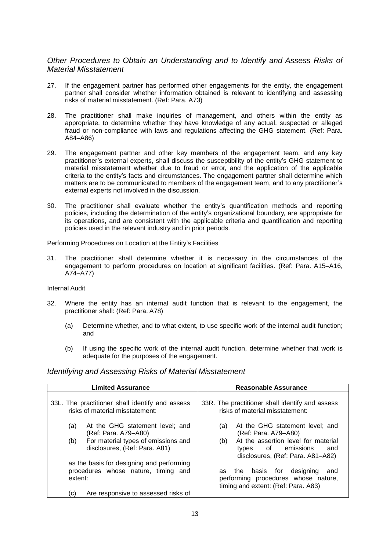## *Other Procedures to Obtain an Understanding and to Identify and Assess Risks of Material Misstatement*

- 27. If the engagement partner has performed other engagements for the entity, the engagement partner shall consider whether information obtained is relevant to identifying and assessing risks of material misstatement. (Ref: Para. A73)
- 28. The practitioner shall make inquiries of management, and others within the entity as appropriate, to determine whether they have knowledge of any actual, suspected or alleged fraud or non-compliance with laws and regulations affecting the GHG statement. (Ref: Para. A84*–*A86)
- 29. The engagement partner and other key members of the engagement team, and any key practitioner's external experts, shall discuss the susceptibility of the entity's GHG statement to material misstatement whether due to fraud or error, and the application of the applicable criteria to the entity's facts and circumstances. The engagement partner shall determine which matters are to be communicated to members of the engagement team, and to any practitioner's external experts not involved in the discussion.
- 30. The practitioner shall evaluate whether the entity's quantification methods and reporting policies, including the determination of the entity's organizational boundary, are appropriate for its operations, and are consistent with the applicable criteria and quantification and reporting policies used in the relevant industry and in prior periods.

Performing Procedures on Location at the Entity's Facilities

31. The practitioner shall determine whether it is necessary in the circumstances of the engagement to perform procedures on location at significant facilities. (Ref: Para. A15–A16, A74–A77)

#### Internal Audit

- 32. Where the entity has an internal audit function that is relevant to the engagement, the practitioner shall: (Ref: Para. A78)
	- (a) Determine whether, and to what extent, to use specific work of the internal audit function; and
	- (b) If using the specific work of the internal audit function, determine whether that work is adequate for the purposes of the engagement.

## *Identifying and Assessing Risks of Material Misstatement*

| <b>Limited Assurance</b>                                                           | Reasonable Assurance                                                                                                  |
|------------------------------------------------------------------------------------|-----------------------------------------------------------------------------------------------------------------------|
| 33L. The practitioner shall identify and assess<br>risks of material misstatement: | 33R. The practitioner shall identify and assess<br>risks of material misstatement:                                    |
| (a)<br>At the GHG statement level; and<br>(Ref: Para. A79–A80)                     | At the GHG statement level; and<br>(a)<br>(Ref: Para. A79–A80)                                                        |
| For material types of emissions and<br>(b)<br>disclosures, (Ref: Para. A81)        | At the assertion level for material<br>(b)<br>of emissions<br>and<br>types<br>disclosures, (Ref: Para. A81-A82)       |
| as the basis for designing and performing                                          |                                                                                                                       |
| procedures whose nature, timing and<br>extent:                                     | designing<br>basis for<br>as the<br>and<br>performing procedures whose nature,<br>timing and extent: (Ref: Para. A83) |
| Are responsive to assessed risks of<br>(c)                                         |                                                                                                                       |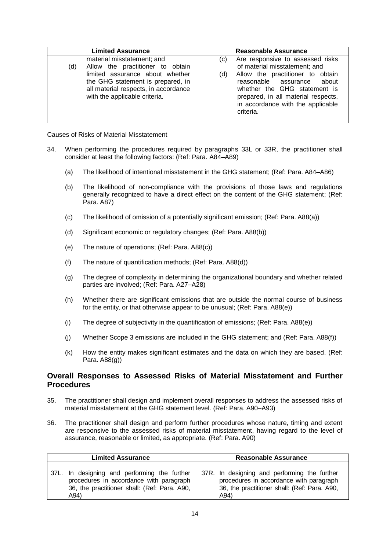| <b>Limited Assurance</b>                                                                                                                                                                                               | <b>Reasonable Assurance</b>                                                                                                                                                                                                                                                |
|------------------------------------------------------------------------------------------------------------------------------------------------------------------------------------------------------------------------|----------------------------------------------------------------------------------------------------------------------------------------------------------------------------------------------------------------------------------------------------------------------------|
| material misstatement; and<br>Allow the practitioner to obtain<br>(d)<br>limited assurance about whether<br>the GHG statement is prepared, in<br>all material respects, in accordance<br>with the applicable criteria. | Are responsive to assessed risks<br>(C)<br>of material misstatement; and<br>Allow the practitioner to obtain<br>(d)<br>reasonable assurance about<br>whether the GHG statement is<br>prepared, in all material respects,<br>in accordance with the applicable<br>criteria. |

Causes of Risks of Material Misstatement

- 34. When performing the procedures required by paragraphs 33L or 33R, the practitioner shall consider at least the following factors: (Ref: Para. A84–A89)
	- (a) The likelihood of intentional misstatement in the GHG statement; (Ref: Para. A84–A86)
	- (b) The likelihood of non-compliance with the provisions of those laws and regulations generally recognized to have a direct effect on the content of the GHG statement; (Ref: Para. A87)
	- (c) The likelihood of omission of a potentially significant emission; (Ref: Para. A88(a))
	- (d) Significant economic or regulatory changes; (Ref: Para. A88(b))
	- (e) The nature of operations; (Ref: Para. A88(c))
	- (f) The nature of quantification methods; (Ref: Para. A88(d))
	- (g) The degree of complexity in determining the organizational boundary and whether related parties are involved; (Ref: Para. A27–A28)
	- (h) Whether there are significant emissions that are outside the normal course of business for the entity, or that otherwise appear to be unusual; (Ref: Para. A88(e))
	- (i) The degree of subjectivity in the quantification of emissions; (Ref: Para. A88(e))
	- (j) Whether Scope 3 emissions are included in the GHG statement; and (Ref: Para. A88(f))
	- (k) How the entity makes significant estimates and the data on which they are based. (Ref: Para. A88(g))

## **Overall Responses to Assessed Risks of Material Misstatement and Further Procedures**

- 35. The practitioner shall design and implement overall responses to address the assessed risks of material misstatement at the GHG statement level. (Ref: Para. A90–A93)
- 36. The practitioner shall design and perform further procedures whose nature, timing and extent are responsive to the assessed risks of material misstatement, having regard to the level of assurance, reasonable or limited, as appropriate. (Ref: Para. A90)

| <b>Limited Assurance</b>                                                                                                                           | <b>Reasonable Assurance</b>                                                                                                                     |
|----------------------------------------------------------------------------------------------------------------------------------------------------|-------------------------------------------------------------------------------------------------------------------------------------------------|
| In designing and performing the further<br>37L.<br>procedures in accordance with paragraph<br>36, the practitioner shall: (Ref: Para. A90,<br>A94) | 37R. In designing and performing the further<br>procedures in accordance with paragraph<br>36, the practitioner shall: (Ref: Para. A90,<br>A94) |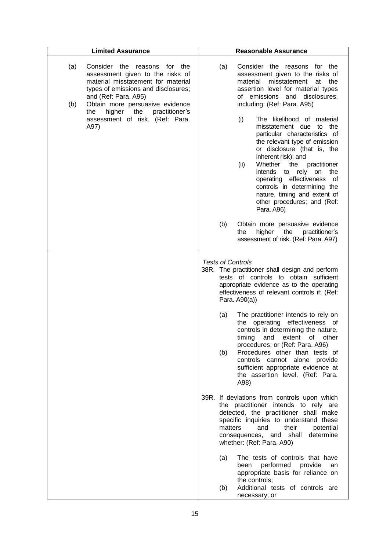| <b>Limited Assurance</b>                                                                                                                                                                                                                                                                              | <b>Reasonable Assurance</b>                                                                                                                                                                                                                                                                                                                                                                                    |
|-------------------------------------------------------------------------------------------------------------------------------------------------------------------------------------------------------------------------------------------------------------------------------------------------------|----------------------------------------------------------------------------------------------------------------------------------------------------------------------------------------------------------------------------------------------------------------------------------------------------------------------------------------------------------------------------------------------------------------|
| (a)<br>Consider the reasons for the<br>assessment given to the risks of<br>material misstatement for material<br>types of emissions and disclosures;<br>and (Ref: Para. A95)<br>Obtain more persuasive evidence<br>(b)<br>higher the practitioner's<br>the<br>assessment of risk. (Ref: Para.<br>A97) | Consider the reasons for the<br>(a)<br>assessment given to the risks of<br>material<br>misstatement<br>the<br>at<br>assertion level for material types<br>of emissions and disclosures,<br>including: (Ref: Para. A95)<br>The likelihood of material<br>(i)<br>misstatement due to the<br>particular characteristics of<br>the relevant type of emission<br>or disclosure (that is, the<br>inherent risk); and |
|                                                                                                                                                                                                                                                                                                       | Whether<br>the<br>practitioner<br>(ii)<br>intends<br>rely<br>on<br>the<br>to<br>operating effectiveness<br>оf<br>controls in determining the<br>nature, timing and extent of<br>other procedures; and (Ref:<br>Para. A96)                                                                                                                                                                                      |
|                                                                                                                                                                                                                                                                                                       | (b)<br>Obtain more persuasive evidence<br>the<br>practitioner's<br>the<br>higher<br>assessment of risk. (Ref: Para. A97)                                                                                                                                                                                                                                                                                       |
|                                                                                                                                                                                                                                                                                                       | <b>Tests of Controls</b><br>38R. The practitioner shall design and perform<br>tests of controls to obtain sufficient<br>appropriate evidence as to the operating<br>effectiveness of relevant controls if: (Ref:<br>Para. A90(a))                                                                                                                                                                              |
|                                                                                                                                                                                                                                                                                                       | The practitioner intends to rely on<br>(a)<br>the operating effectiveness of<br>controls in determining the nature,<br>timing and extent of other<br>procedures; or (Ref: Para. A96)<br>Procedures other than tests of<br>(b)<br>controls cannot alone provide<br>sufficient appropriate evidence at<br>the assertion level. (Ref: Para.<br>A98)                                                               |
|                                                                                                                                                                                                                                                                                                       | 39R. If deviations from controls upon which<br>the practitioner intends to rely are<br>detected, the practitioner shall make<br>specific inquiries to understand these<br>matters<br>and<br>their<br>potential<br>consequences, and shall determine<br>whether: (Ref: Para. A90)                                                                                                                               |
|                                                                                                                                                                                                                                                                                                       | The tests of controls that have<br>(a)<br>performed<br>provide<br>been<br>an<br>appropriate basis for reliance on<br>the controls;<br>Additional tests of controls are<br>(b)<br>necessary; or                                                                                                                                                                                                                 |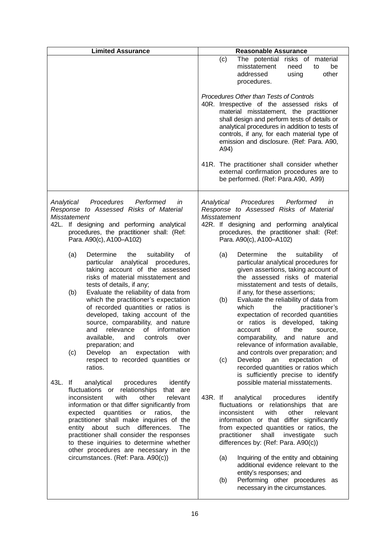| <b>Limited Assurance</b>                                                                                                                                                                                                                                                                                                                                                                                                                                                                                                                                                                | <b>Reasonable Assurance</b>                                                                                                                                                                                                                                                                                                                                                                                                                                                                                                                                                                                                                                                |
|-----------------------------------------------------------------------------------------------------------------------------------------------------------------------------------------------------------------------------------------------------------------------------------------------------------------------------------------------------------------------------------------------------------------------------------------------------------------------------------------------------------------------------------------------------------------------------------------|----------------------------------------------------------------------------------------------------------------------------------------------------------------------------------------------------------------------------------------------------------------------------------------------------------------------------------------------------------------------------------------------------------------------------------------------------------------------------------------------------------------------------------------------------------------------------------------------------------------------------------------------------------------------------|
|                                                                                                                                                                                                                                                                                                                                                                                                                                                                                                                                                                                         | The potential risks of material<br>(c)<br>misstatement<br>need<br>to<br>be<br>addressed<br>other<br>using<br>procedures.                                                                                                                                                                                                                                                                                                                                                                                                                                                                                                                                                   |
|                                                                                                                                                                                                                                                                                                                                                                                                                                                                                                                                                                                         | Procedures Other than Tests of Controls<br>40R. Irrespective of the assessed risks of<br>material misstatement, the practitioner<br>shall design and perform tests of details or<br>analytical procedures in addition to tests of<br>controls, if any, for each material type of<br>emission and disclosure. (Ref: Para. A90,<br>A94)<br>41R. The practitioner shall consider whether<br>external confirmation procedures are to<br>be performed. (Ref: Para.A90, A99)                                                                                                                                                                                                     |
| Analytical<br>Procedures<br>Performed<br>in<br>Response to Assessed Risks of Material<br><b>Misstatement</b><br>42L. If designing and performing analytical<br>procedures, the practitioner shall: (Ref:<br>Para. A90(c), A100-A102)                                                                                                                                                                                                                                                                                                                                                    | Procedures<br>Analytical<br>Performed<br>in<br>Response to Assessed Risks of Material<br>Misstatement<br>42R. If designing and performing analytical<br>procedures, the practitioner shall: (Ref:<br>Para. A90(c), A100-A102)                                                                                                                                                                                                                                                                                                                                                                                                                                              |
| (a)<br>Determine<br>the<br>suitability<br>of<br>particular analytical procedures,<br>taking account of the assessed<br>risks of material misstatement and<br>tests of details, if any;<br>Evaluate the reliability of data from<br>(b)<br>which the practitioner's expectation<br>of recorded quantities or ratios is<br>developed, taking account of the<br>source, comparability, and nature<br>relevance of<br>information<br>and<br>available, and controls over<br>preparation; and<br>Develop<br>(c)<br>an<br>expectation<br>with<br>respect to recorded quantities or<br>ratios. | Determine<br>(a)<br>the<br>suitability<br>οf<br>particular analytical procedures for<br>given assertions, taking account of<br>the assessed risks of material<br>misstatement and tests of details,<br>if any, for these assertions;<br>Evaluate the reliability of data from<br>(b)<br>the<br>which<br>practitioner's<br>expectation of recorded quantities<br>or ratios is developed, taking<br>of<br>the<br>account<br>source,<br>comparability, and nature and<br>relevance of information available,<br>and controls over preparation; and<br>(c)<br>Develop<br>expectation<br>an<br>οf<br>recorded quantities or ratios which<br>is sufficiently precise to identify |
| 43L. If<br>analytical<br>procedures<br>identify<br>fluctuations or relationships that are<br>other<br>inconsistent<br>with<br>relevant<br>information or that differ significantly from<br>expected quantities or ratios,<br>the<br>practitioner shall make inquiries of the<br>entity about such differences.<br>The<br>practitioner shall consider the responses<br>to these inquiries to determine whether<br>other procedures are necessary in the<br>circumstances. (Ref: Para. A90(c))                                                                                            | possible material misstatements.<br>43R. If<br>analytical<br>procedures identify<br>fluctuations or relationships that are<br>inconsistent<br>with<br>other<br>relevant<br>information or that differ significantly<br>from expected quantities or ratios, the<br>practitioner<br>investigate<br>such<br>shall<br>differences by: (Ref: Para. A90(c))<br>(a)<br>Inquiring of the entity and obtaining<br>additional evidence relevant to the<br>entity's responses; and<br>Performing other procedures as<br>(b)<br>necessary in the circumstances.                                                                                                                        |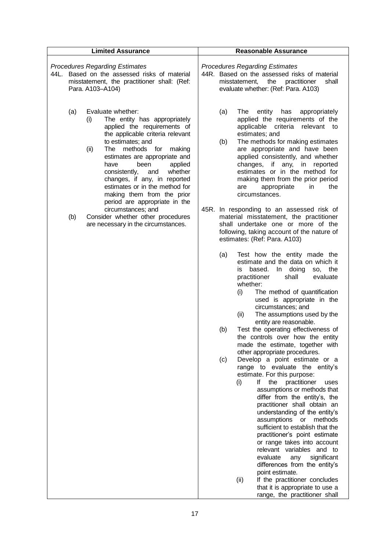| <b>Limited Assurance</b>                                                                                                                                                                                                                                                                                                                                                                                                                                                                                                                    | <b>Reasonable Assurance</b>                                                                                                                                                                                                                                                                                                                                                                                                                                                                                                                                                                                                                                                                                                                                                                                                                                                                                                                                                                                                                                                                                                                    |
|---------------------------------------------------------------------------------------------------------------------------------------------------------------------------------------------------------------------------------------------------------------------------------------------------------------------------------------------------------------------------------------------------------------------------------------------------------------------------------------------------------------------------------------------|------------------------------------------------------------------------------------------------------------------------------------------------------------------------------------------------------------------------------------------------------------------------------------------------------------------------------------------------------------------------------------------------------------------------------------------------------------------------------------------------------------------------------------------------------------------------------------------------------------------------------------------------------------------------------------------------------------------------------------------------------------------------------------------------------------------------------------------------------------------------------------------------------------------------------------------------------------------------------------------------------------------------------------------------------------------------------------------------------------------------------------------------|
| <b>Procedures Regarding Estimates</b><br>44L. Based on the assessed risks of material<br>misstatement, the practitioner shall: (Ref:<br>Para. A103-A104)                                                                                                                                                                                                                                                                                                                                                                                    | <b>Procedures Regarding Estimates</b><br>44R. Based on the assessed risks of material<br>shall<br>misstatement,<br>the<br>practitioner<br>evaluate whether: (Ref: Para. A103)                                                                                                                                                                                                                                                                                                                                                                                                                                                                                                                                                                                                                                                                                                                                                                                                                                                                                                                                                                  |
| (a)<br>Evaluate whether:<br>The entity has appropriately<br>(i)<br>applied the requirements of<br>the applicable criteria relevant<br>to estimates; and<br>methods<br>(ii)<br>The<br>for<br>making<br>estimates are appropriate and<br>have<br>been<br>applied<br>consistently,<br>and<br>whether<br>changes, if any, in reported<br>estimates or in the method for<br>making them from the prior<br>period are appropriate in the<br>circumstances; and<br>(b)<br>Consider whether other procedures<br>are necessary in the circumstances. | (a)<br>The<br>entity<br>has<br>appropriately<br>applied the requirements of the<br>criteria<br>applicable<br>relevant<br>to<br>estimates; and<br>The methods for making estimates<br>(b)<br>are appropriate and have been<br>applied consistently, and whether<br>changes,<br>if<br>any,<br>in<br>reported<br>estimates or in the method for<br>making them from the prior period<br>appropriate<br>the<br>are<br>in<br>circumstances.<br>45R. In responding to an assessed risk of<br>material misstatement, the practitioner<br>shall undertake one or more of the<br>following, taking account of the nature of<br>estimates: (Ref: Para. A103)                                                                                                                                                                                                                                                                                                                                                                                                                                                                                             |
|                                                                                                                                                                                                                                                                                                                                                                                                                                                                                                                                             | Test how the entity made the<br>(a)<br>estimate and the data on which it<br>based.<br>In doing<br>so, the<br>İS.<br>shall<br>practitioner<br>evaluate<br>whether:<br>The method of quantification<br>(i)<br>used is appropriate in the<br>circumstances; and<br>The assumptions used by the<br>(ii)<br>entity are reasonable.<br>Test the operating effectiveness of<br>(b)<br>the controls over how the entity<br>made the estimate, together with<br>other appropriate procedures.<br>Develop a point estimate or a<br>(c)<br>range to evaluate the entity's<br>estimate. For this purpose:<br>lf<br>practitioner<br>the<br>(i)<br>uses<br>assumptions or methods that<br>differ from the entity's, the<br>practitioner shall obtain an<br>understanding of the entity's<br>assumptions<br>methods<br>or<br>sufficient to establish that the<br>practitioner's point estimate<br>or range takes into account<br>relevant variables and to<br>significant<br>evaluate<br>any<br>differences from the entity's<br>point estimate.<br>If the practitioner concludes<br>(ii)<br>that it is appropriate to use a<br>range, the practitioner shall |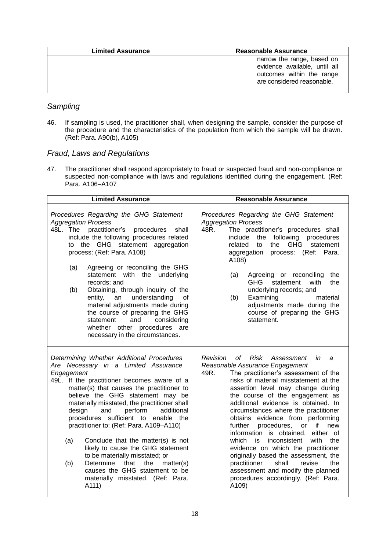| <b>Limited Assurance</b> | <b>Reasonable Assurance</b>                                                                                            |
|--------------------------|------------------------------------------------------------------------------------------------------------------------|
|                          | narrow the range, based on<br>evidence available, until all<br>outcomes within the range<br>are considered reasonable. |

## *Sampling*

46. If sampling is used, the practitioner shall, when designing the sample, consider the purpose of the procedure and the characteristics of the population from which the sample will be drawn. (Ref: Para. A90(b), A105)

## *Fraud, Laws and Regulations*

47. The practitioner shall respond appropriately to fraud or suspected fraud and non-compliance or suspected non-compliance with laws and regulations identified during the engagement. (Ref: Para. A106–A107

| <b>Limited Assurance</b>                                                                                                                                                                                                                                                                                                                                                                                                                                                                                                                                                                                                                                        | <b>Reasonable Assurance</b>                                                                                                                                                                                                                                                                                                                                                                                                                                                                                                                                                                                                                                                                                 |
|-----------------------------------------------------------------------------------------------------------------------------------------------------------------------------------------------------------------------------------------------------------------------------------------------------------------------------------------------------------------------------------------------------------------------------------------------------------------------------------------------------------------------------------------------------------------------------------------------------------------------------------------------------------------|-------------------------------------------------------------------------------------------------------------------------------------------------------------------------------------------------------------------------------------------------------------------------------------------------------------------------------------------------------------------------------------------------------------------------------------------------------------------------------------------------------------------------------------------------------------------------------------------------------------------------------------------------------------------------------------------------------------|
| Procedures Regarding the GHG Statement<br><b>Aggregation Process</b><br>48L. The<br>practitioner's<br>procedures<br>shall<br>include the following procedures related<br>to the GHG statement aggregation<br>process: (Ref: Para. A108)<br>Agreeing or reconciling the GHG<br>(a)<br>statement with the underlying<br>records; and<br>Obtaining, through inquiry of the<br>(b)<br>understanding<br>entity,<br>an<br>οf<br>material adjustments made during<br>the course of preparing the GHG<br>and<br>considering<br>statement<br>whether other procedures are<br>necessary in the circumstances.                                                             | Procedures Regarding the GHG Statement<br><b>Aggregation Process</b><br>48R.<br>The practitioner's procedures shall<br>following<br>procedures<br>include<br>the<br>the<br><b>GHG</b><br>related<br>to<br>statement<br>process: (Ref: Para.<br>aggregation<br>A108)<br>Agreeing or reconciling<br>(a)<br>the<br><b>GHG</b><br>statement<br>with<br>the<br>underlying records; and<br>Examining<br>material<br>(b)<br>adjustments made during the<br>course of preparing the GHG<br>statement.                                                                                                                                                                                                               |
| Determining Whether Additional Procedures<br>Are Necessary in a Limited Assurance<br>Engagement<br>49L. If the practitioner becomes aware of a<br>matter(s) that causes the practitioner to<br>believe the GHG statement may be<br>materially misstated, the practitioner shall<br>perform<br>additional<br>design<br>and<br>procedures sufficient to enable the<br>practitioner to: (Ref: Para. A109-A110)<br>(a)<br>Conclude that the matter(s) is not<br>likely to cause the GHG statement<br>to be materially misstated; or<br>Determine<br>that<br>the<br>(b)<br>matter(s)<br>causes the GHG statement to be<br>materially misstated. (Ref: Para.<br>A111) | Revision<br>Risk<br>οf<br>Assessment<br>in<br>a<br>Reasonable Assurance Engagement<br>The practitioner's assessment of the<br>49R.<br>risks of material misstatement at the<br>assertion level may change during<br>the course of the engagement as<br>additional evidence is obtained. In<br>circumstances where the practitioner<br>obtains evidence from performing<br>procedures, or if<br>new<br>further<br>information is obtained, either of<br>is inconsistent<br>with<br>which<br>the<br>evidence on which the practitioner<br>originally based the assessment, the<br>practitioner<br>shall<br>revise<br>the<br>assessment and modify the planned<br>procedures accordingly. (Ref: Para.<br>A109) |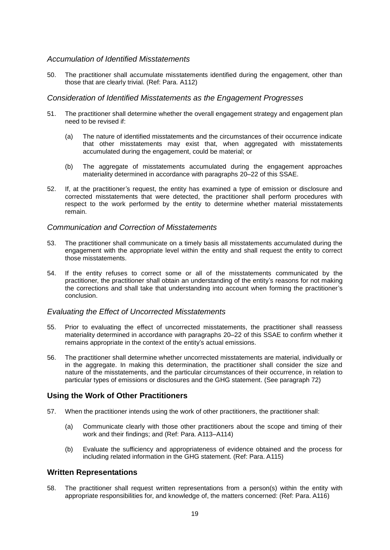## *Accumulation of Identified Misstatements*

50. The practitioner shall accumulate misstatements identified during the engagement, other than those that are clearly trivial. (Ref: Para. A112)

## *Consideration of Identified Misstatements as the Engagement Progresses*

- 51. The practitioner shall determine whether the overall engagement strategy and engagement plan need to be revised if:
	- (a) The nature of identified misstatements and the circumstances of their occurrence indicate that other misstatements may exist that, when aggregated with misstatements accumulated during the engagement, could be material; or
	- (b) The aggregate of misstatements accumulated during the engagement approaches materiality determined in accordance with paragraphs 20–22 of this SSAE.
- 52. If, at the practitioner's request, the entity has examined a type of emission or disclosure and corrected misstatements that were detected, the practitioner shall perform procedures with respect to the work performed by the entity to determine whether material misstatements remain.

#### *Communication and Correction of Misstatements*

- 53. The practitioner shall communicate on a timely basis all misstatements accumulated during the engagement with the appropriate level within the entity and shall request the entity to correct those misstatements.
- 54. If the entity refuses to correct some or all of the misstatements communicated by the practitioner, the practitioner shall obtain an understanding of the entity's reasons for not making the corrections and shall take that understanding into account when forming the practitioner's conclusion.

#### *Evaluating the Effect of Uncorrected Misstatements*

- 55. Prior to evaluating the effect of uncorrected misstatements, the practitioner shall reassess materiality determined in accordance with paragraphs 20–22 of this SSAE to confirm whether it remains appropriate in the context of the entity's actual emissions.
- 56. The practitioner shall determine whether uncorrected misstatements are material, individually or in the aggregate. In making this determination, the practitioner shall consider the size and nature of the misstatements, and the particular circumstances of their occurrence, in relation to particular types of emissions or disclosures and the GHG statement. (See paragraph 72)

## **Using the Work of Other Practitioners**

- 57. When the practitioner intends using the work of other practitioners, the practitioner shall:
	- (a) Communicate clearly with those other practitioners about the scope and timing of their work and their findings; and (Ref: Para. A113–A114)
	- (b) Evaluate the sufficiency and appropriateness of evidence obtained and the process for including related information in the GHG statement. (Ref: Para. A115)

#### **Written Representations**

58. The practitioner shall request written representations from a person(s) within the entity with appropriate responsibilities for, and knowledge of, the matters concerned: (Ref: Para. A116)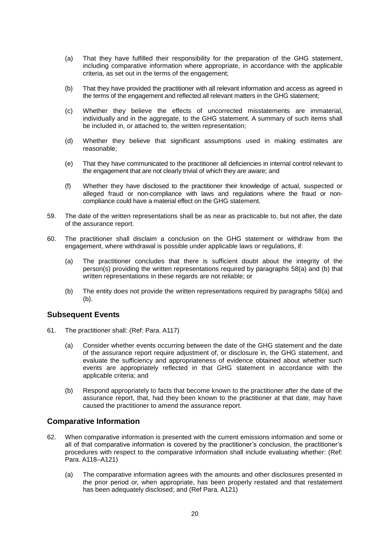- (a) That they have fulfilled their responsibility for the preparation of the GHG statement, including comparative information where appropriate, in accordance with the applicable criteria, as set out in the terms of the engagement;
- (b) That they have provided the practitioner with all relevant information and access as agreed in the terms of the engagement and reflected all relevant matters in the GHG statement;
- (c) Whether they believe the effects of uncorrected misstatements are immaterial, individually and in the aggregate, to the GHG statement. A summary of such items shall be included in, or attached to, the written representation;
- (d) Whether they believe that significant assumptions used in making estimates are reasonable;
- (e) That they have communicated to the practitioner all deficiencies in internal control relevant to the engagement that are not clearly trivial of which they are aware; and
- (f) Whether they have disclosed to the practitioner their knowledge of actual, suspected or alleged fraud or non-compliance with laws and regulations where the fraud or noncompliance could have a material effect on the GHG statement.
- 59. The date of the written representations shall be as near as practicable to, but not after, the date of the assurance report.
- 60. The practitioner shall disclaim a conclusion on the GHG statement or withdraw from the engagement, where withdrawal is possible under applicable laws or regulations, if:
	- (a) The practitioner concludes that there is sufficient doubt about the integrity of the person(s) providing the written representations required by paragraphs 58(a) and (b) that written representations in these regards are not reliable; or
	- (b) The entity does not provide the written representations required by paragraphs 58(a) and (b).

## **Subsequent Events**

- 61. The practitioner shall: (Ref: Para. A117)
	- (a) Consider whether events occurring between the date of the GHG statement and the date of the assurance report require adjustment of, or disclosure in, the GHG statement, and evaluate the sufficiency and appropriateness of evidence obtained about whether such events are appropriately reflected in that GHG statement in accordance with the applicable criteria; and
	- (b) Respond appropriately to facts that become known to the practitioner after the date of the assurance report, that, had they been known to the practitioner at that date, may have caused the practitioner to amend the assurance report.

## **Comparative Information**

- 62. When comparative information is presented with the current emissions information and some or all of that comparative information is covered by the practitioner's conclusion, the practitioner's procedures with respect to the comparative information shall include evaluating whether: (Ref: Para. A118–A121)
	- (a) The comparative information agrees with the amounts and other disclosures presented in the prior period or, when appropriate, has been properly restated and that restatement has been adequately disclosed; and (Ref Para. A121)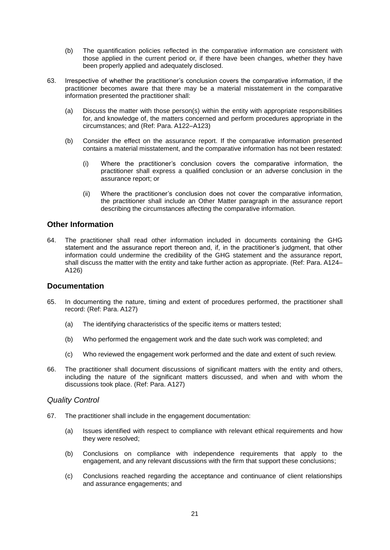- (b) The quantification policies reflected in the comparative information are consistent with those applied in the current period or, if there have been changes, whether they have been properly applied and adequately disclosed.
- 63. Irrespective of whether the practitioner's conclusion covers the comparative information, if the practitioner becomes aware that there may be a material misstatement in the comparative information presented the practitioner shall:
	- (a) Discuss the matter with those person(s) within the entity with appropriate responsibilities for, and knowledge of, the matters concerned and perform procedures appropriate in the circumstances; and (Ref: Para. A122–A123)
	- (b) Consider the effect on the assurance report. If the comparative information presented contains a material misstatement, and the comparative information has not been restated:
		- (i) Where the practitioner's conclusion covers the comparative information, the practitioner shall express a qualified conclusion or an adverse conclusion in the assurance report; or
		- (ii) Where the practitioner's conclusion does not cover the comparative information, the practitioner shall include an Other Matter paragraph in the assurance report describing the circumstances affecting the comparative information.

## **Other Information**

64. The practitioner shall read other information included in documents containing the GHG statement and the assurance report thereon and, if, in the practitioner's judgment, that other information could undermine the credibility of the GHG statement and the assurance report, shall discuss the matter with the entity and take further action as appropriate. (Ref: Para. A124*–* A126)

#### **Documentation**

- 65. In documenting the nature, timing and extent of procedures performed, the practitioner shall record: (Ref: Para. A127)
	- (a) The identifying characteristics of the specific items or matters tested;
	- (b) Who performed the engagement work and the date such work was completed; and
	- (c) Who reviewed the engagement work performed and the date and extent of such review.
- 66. The practitioner shall document discussions of significant matters with the entity and others, including the nature of the significant matters discussed, and when and with whom the discussions took place. (Ref: Para. A127)

## *Quality Control*

- 67. The practitioner shall include in the engagement documentation:
	- (a) Issues identified with respect to compliance with relevant ethical requirements and how they were resolved;
	- (b) Conclusions on compliance with independence requirements that apply to the engagement, and any relevant discussions with the firm that support these conclusions;
	- (c) Conclusions reached regarding the acceptance and continuance of client relationships and assurance engagements; and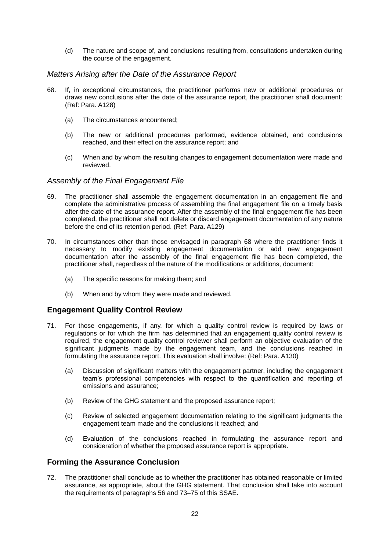(d) The nature and scope of, and conclusions resulting from, consultations undertaken during the course of the engagement.

## *Matters Arising after the Date of the Assurance Report*

- 68. If, in exceptional circumstances, the practitioner performs new or additional procedures or draws new conclusions after the date of the assurance report, the practitioner shall document: (Ref: Para. A128)
	- (a) The circumstances encountered;
	- (b) The new or additional procedures performed, evidence obtained, and conclusions reached, and their effect on the assurance report; and
	- (c) When and by whom the resulting changes to engagement documentation were made and reviewed.

#### *Assembly of the Final Engagement File*

- 69. The practitioner shall assemble the engagement documentation in an engagement file and complete the administrative process of assembling the final engagement file on a timely basis after the date of the assurance report. After the assembly of the final engagement file has been completed, the practitioner shall not delete or discard engagement documentation of any nature before the end of its retention period. (Ref: Para. A129)
- 70. In circumstances other than those envisaged in paragraph 68 where the practitioner finds it necessary to modify existing engagement documentation or add new engagement documentation after the assembly of the final engagement file has been completed, the practitioner shall, regardless of the nature of the modifications or additions, document:
	- (a) The specific reasons for making them; and
	- (b) When and by whom they were made and reviewed.

## **Engagement Quality Control Review**

- 71. For those engagements, if any, for which a quality control review is required by laws or regulations or for which the firm has determined that an engagement quality control review is required, the engagement quality control reviewer shall perform an objective evaluation of the significant judgments made by the engagement team, and the conclusions reached in formulating the assurance report. This evaluation shall involve: (Ref: Para. A130)
	- (a) Discussion of significant matters with the engagement partner, including the engagement team's professional competencies with respect to the quantification and reporting of emissions and assurance;
	- (b) Review of the GHG statement and the proposed assurance report;
	- (c) Review of selected engagement documentation relating to the significant judgments the engagement team made and the conclusions it reached; and
	- (d) Evaluation of the conclusions reached in formulating the assurance report and consideration of whether the proposed assurance report is appropriate.

## **Forming the Assurance Conclusion**

72. The practitioner shall conclude as to whether the practitioner has obtained reasonable or limited assurance, as appropriate, about the GHG statement. That conclusion shall take into account the requirements of paragraphs 56 and 73–75 of this SSAE.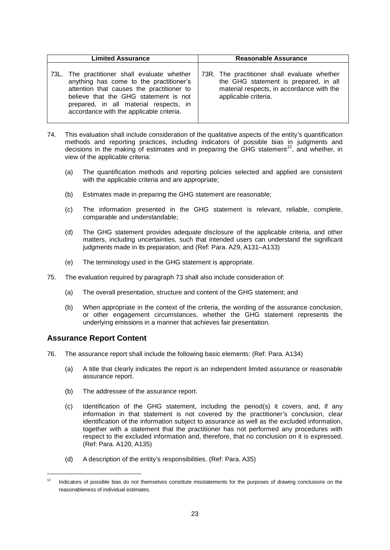| <b>Limited Assurance</b>                                                                                                                                                                                                                                            | <b>Reasonable Assurance</b>                                                                                                                                |
|---------------------------------------------------------------------------------------------------------------------------------------------------------------------------------------------------------------------------------------------------------------------|------------------------------------------------------------------------------------------------------------------------------------------------------------|
| 73L. The practitioner shall evaluate whether<br>anything has come to the practitioner's<br>attention that causes the practitioner to<br>believe that the GHG statement is not<br>prepared, in all material respects, in<br>accordance with the applicable criteria. | 73R. The practitioner shall evaluate whether<br>the GHG statement is prepared, in all<br>material respects, in accordance with the<br>applicable criteria. |

- 74. This evaluation shall include consideration of the qualitative aspects of the entity's quantification methods and reporting practices, including indicators of possible bias in judgments and decisions in the making of estimates and in preparing the GHG statement<sup>12</sup>, and whether, in view of the applicable criteria:
	- (a) The quantification methods and reporting policies selected and applied are consistent with the applicable criteria and are appropriate;
	- (b) Estimates made in preparing the GHG statement are reasonable;
	- (c) The information presented in the GHG statement is relevant, reliable, complete, comparable and understandable;
	- (d) The GHG statement provides adequate disclosure of the applicable criteria, and other matters, including uncertainties, such that intended users can understand the significant judgments made in its preparation; and (Ref: Para. A29, A131–A133)
	- (e) The terminology used in the GHG statement is appropriate.
- 75. The evaluation required by paragraph 73 shall also include consideration of:
	- (a) The overall presentation, structure and content of the GHG statement; and
	- (b) When appropriate in the context of the criteria, the wording of the assurance conclusion, or other engagement circumstances, whether the GHG statement represents the underlying emissions in a manner that achieves fair presentation.

## **Assurance Report Content**

1

- 76. The assurance report shall include the following basic elements: (Ref: Para. A134)
	- (a) A title that clearly indicates the report is an independent limited assurance or reasonable assurance report.
	- (b) The addressee of the assurance report.
	- (c) Identification of the GHG statement, including the period(s) it covers, and, if any information in that statement is not covered by the practitioner's conclusion, clear identification of the information subject to assurance as well as the excluded information, together with a statement that the practitioner has not performed any procedures with respect to the excluded information and, therefore, that no conclusion on it is expressed. (Ref: Para. A120, A135)
	- (d) A description of the entity's responsibilities. (Ref: Para. A35)

Indicators of possible bias do not themselves constitute misstatements for the purposes of drawing conclusions on the reasonableness of individual estimates.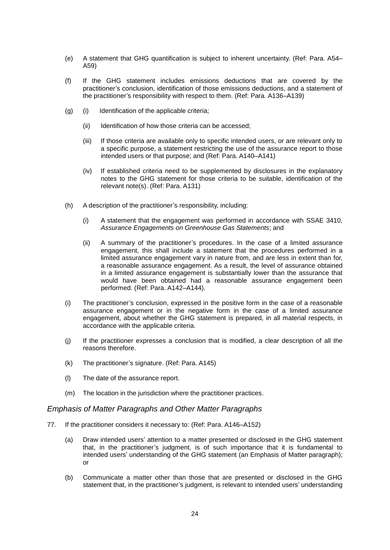- (e) A statement that GHG quantification is subject to inherent uncertainty. (Ref: Para. A54– A59)
- (f) If the GHG statement includes emissions deductions that are covered by the practitioner's conclusion, identification of those emissions deductions, and a statement of the practitioner's responsibility with respect to them. (Ref: Para. A136–A139)
- (g) (i) Identification of the applicable criteria;
	- (ii) Identification of how those criteria can be accessed;
	- (iii) If those criteria are available only to specific intended users, or are relevant only to a specific purpose, a statement restricting the use of the assurance report to those intended users or that purpose; and (Ref: Para. A140–A141)
	- (iv) If established criteria need to be supplemented by disclosures in the explanatory notes to the GHG statement for those criteria to be suitable, identification of the relevant note(s). (Ref: Para. A131)
- (h) A description of the practitioner's responsibility, including:
	- (i) A statement that the engagement was performed in accordance with SSAE 3410, *Assurance Engagements on Greenhouse Gas Statements*; and
	- (ii) A summary of the practitioner's procedures. In the case of a limited assurance engagement, this shall include a statement that the procedures performed in a limited assurance engagement vary in nature from, and are less in extent than for, a reasonable assurance engagement. As a result, the level of assurance obtained in a limited assurance engagement is substantially lower than the assurance that would have been obtained had a reasonable assurance engagement been performed. (Ref: Para. A142*–*A144).
- (i) The practitioner's conclusion, expressed in the positive form in the case of a reasonable assurance engagement or in the negative form in the case of a limited assurance engagement, about whether the GHG statement is prepared, in all material respects, in accordance with the applicable criteria.
- (j) If the practitioner expresses a conclusion that is modified, a clear description of all the reasons therefore.
- (k) The practitioner's signature. (Ref: Para. A145)
- (l) The date of the assurance report.
- (m) The location in the jurisdiction where the practitioner practices.

#### *Emphasis of Matter Paragraphs and Other Matter Paragraphs*

- 77. If the practitioner considers it necessary to: (Ref: Para. A146–A152)
	- (a) Draw intended users' attention to a matter presented or disclosed in the GHG statement that, in the practitioner's judgment, is of such importance that it is fundamental to intended users' understanding of the GHG statement (an Emphasis of Matter paragraph); or
	- (b) Communicate a matter other than those that are presented or disclosed in the GHG statement that, in the practitioner's judgment, is relevant to intended users' understanding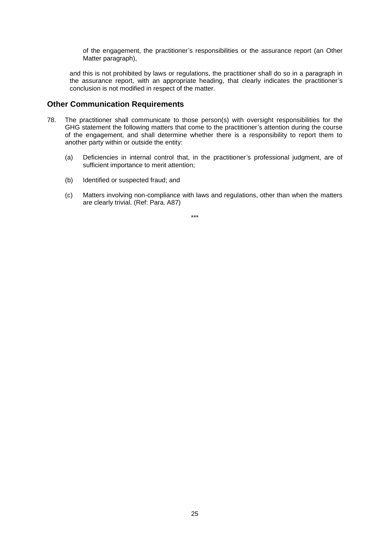of the engagement, the practitioner's responsibilities or the assurance report (an Other Matter paragraph),

and this is not prohibited by laws or regulations, the practitioner shall do so in a paragraph in the assurance report, with an appropriate heading, that clearly indicates the practitioner's conclusion is not modified in respect of the matter.

#### **Other Communication Requirements**

- 78. The practitioner shall communicate to those person(s) with oversight responsibilities for the GHG statement the following matters that come to the practitioner's attention during the course of the engagement, and shall determine whether there is a responsibility to report them to another party within or outside the entity:
	- (a) Deficiencies in internal control that, in the practitioner's professional judgment, are of sufficient importance to merit attention;
	- (b) Identified or suspected fraud; and
	- (c) Matters involving non-compliance with laws and regulations, other than when the matters are clearly trivial. (Ref: Para. A87)

\*\*\*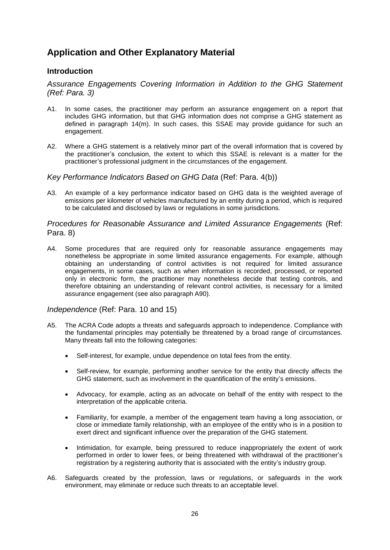# **Application and Other Explanatory Material**

## **Introduction**

*Assurance Engagements Covering Information in Addition to the GHG Statement (Ref: Para. 3)*

- A1. In some cases, the practitioner may perform an assurance engagement on a report that includes GHG information, but that GHG information does not comprise a GHG statement as defined in paragraph 14(m). In such cases, this SSAE may provide guidance for such an engagement.
- A2. Where a GHG statement is a relatively minor part of the overall information that is covered by the practitioner's conclusion, the extent to which this SSAE is relevant is a matter for the practitioner's professional judgment in the circumstances of the engagement.

## *Key Performance Indicators Based on GHG Data* (Ref: Para. 4(b))

A3. An example of a key performance indicator based on GHG data is the weighted average of emissions per kilometer of vehicles manufactured by an entity during a period, which is required to be calculated and disclosed by laws or regulations in some jurisdictions.

## *Procedures for Reasonable Assurance and Limited Assurance Engagements* (Ref: Para. 8)

A4. Some procedures that are required only for reasonable assurance engagements may nonetheless be appropriate in some limited assurance engagements. For example, although obtaining an understanding of control activities is not required for limited assurance engagements, in some cases, such as when information is recorded, processed, or reported only in electronic form, the practitioner may nonetheless decide that testing controls, and therefore obtaining an understanding of relevant control activities, is necessary for a limited assurance engagement (see also paragraph A90).

## *Independence* (Ref: Para. 10 and 15)

- A5. The ACRA Code adopts a threats and safeguards approach to independence. Compliance with the fundamental principles may potentially be threatened by a broad range of circumstances. Many threats fall into the following categories:
	- Self-interest, for example, undue dependence on total fees from the entity.
	- Self-review, for example, performing another service for the entity that directly affects the GHG statement, such as involvement in the quantification of the entity's emissions.
	- Advocacy, for example, acting as an advocate on behalf of the entity with respect to the interpretation of the applicable criteria.
	- Familiarity, for example, a member of the engagement team having a long association, or close or immediate family relationship, with an employee of the entity who is in a position to exert direct and significant influence over the preparation of the GHG statement.
	- Intimidation, for example, being pressured to reduce inappropriately the extent of work performed in order to lower fees, or being threatened with withdrawal of the practitioner's registration by a registering authority that is associated with the entity's industry group.
- A6. Safeguards created by the profession, laws or regulations, or safeguards in the work environment, may eliminate or reduce such threats to an acceptable level.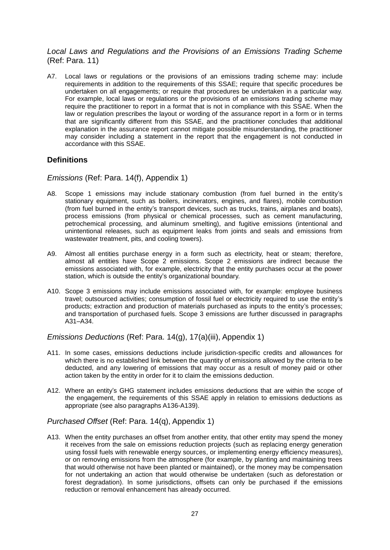## *Local Laws and Regulations and the Provisions of an Emissions Trading Scheme*  (Ref: Para. 11)

A7. Local laws or regulations or the provisions of an emissions trading scheme may: include requirements in addition to the requirements of this SSAE; require that specific procedures be undertaken on all engagements; or require that procedures be undertaken in a particular way. For example, local laws or regulations or the provisions of an emissions trading scheme may require the practitioner to report in a format that is not in compliance with this SSAE. When the law or regulation prescribes the layout or wording of the assurance report in a form or in terms that are significantly different from this SSAE, and the practitioner concludes that additional explanation in the assurance report cannot mitigate possible misunderstanding, the practitioner may consider including a statement in the report that the engagement is not conducted in accordance with this SSAE.

## **Definitions**

*Emissions* (Ref: Para. 14(f), Appendix 1)

- A8. Scope 1 emissions may include stationary combustion (from fuel burned in the entity's stationary equipment, such as boilers, incinerators, engines, and flares), mobile combustion (from fuel burned in the entity's transport devices, such as trucks, trains, airplanes and boats), process emissions (from physical or chemical processes, such as cement manufacturing, petrochemical processing, and aluminum smelting), and fugitive emissions (intentional and unintentional releases, such as equipment leaks from joints and seals and emissions from wastewater treatment, pits, and cooling towers).
- A9. Almost all entities purchase energy in a form such as electricity, heat or steam; therefore, almost all entities have Scope 2 emissions. Scope 2 emissions are indirect because the emissions associated with, for example, electricity that the entity purchases occur at the power station, which is outside the entity's organizational boundary.
- A10. Scope 3 emissions may include emissions associated with, for example: employee business travel; outsourced activities; consumption of fossil fuel or electricity required to use the entity's products; extraction and production of materials purchased as inputs to the entity's processes; and transportation of purchased fuels. Scope 3 emissions are further discussed in paragraphs A31–A34.

## *Emissions Deductions* (Ref: Para. 14(g), 17(a)(iii), Appendix 1)

- A11. In some cases, emissions deductions include jurisdiction-specific credits and allowances for which there is no established link between the quantity of emissions allowed by the criteria to be deducted, and any lowering of emissions that may occur as a result of money paid or other action taken by the entity in order for it to claim the emissions deduction.
- A12. Where an entity's GHG statement includes emissions deductions that are within the scope of the engagement, the requirements of this SSAE apply in relation to emissions deductions as appropriate (see also paragraphs A136-A139).

## *Purchased Offset* (Ref: Para. 14(q), Appendix 1)

A13. When the entity purchases an offset from another entity, that other entity may spend the money it receives from the sale on emissions reduction projects (such as replacing energy generation using fossil fuels with renewable energy sources, or implementing energy efficiency measures), or on removing emissions from the atmosphere (for example, by planting and maintaining trees that would otherwise not have been planted or maintained), or the money may be compensation for not undertaking an action that would otherwise be undertaken (such as deforestation or forest degradation). In some jurisdictions, offsets can only be purchased if the emissions reduction or removal enhancement has already occurred.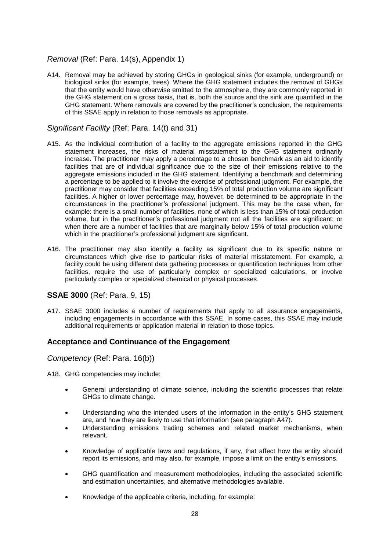## *Removal* (Ref: Para. 14(s), Appendix 1)

A14. Removal may be achieved by storing GHGs in geological sinks (for example, underground) or biological sinks (for example, trees). Where the GHG statement includes the removal of GHGs that the entity would have otherwise emitted to the atmosphere, they are commonly reported in the GHG statement on a gross basis, that is, both the source and the sink are quantified in the GHG statement. Where removals are covered by the practitioner's conclusion, the requirements of this SSAE apply in relation to those removals as appropriate.

## *Significant Facility* (Ref: Para. 14(t) and 31)

- A15. As the individual contribution of a facility to the aggregate emissions reported in the GHG statement increases, the risks of material misstatement to the GHG statement ordinarily increase. The practitioner may apply a percentage to a chosen benchmark as an aid to identify facilities that are of individual significance due to the size of their emissions relative to the aggregate emissions included in the GHG statement. Identifying a benchmark and determining a percentage to be applied to it involve the exercise of professional judgment. For example, the practitioner may consider that facilities exceeding 15% of total production volume are significant facilities. A higher or lower percentage may, however, be determined to be appropriate in the circumstances in the practitioner's professional judgment. This may be the case when, for example: there is a small number of facilities, none of which is less than 15% of total production volume, but in the practitioner's professional judgment not all the facilities are significant; or when there are a number of facilities that are marginally below 15% of total production volume which in the practitioner's professional judgment are significant.
- A16. The practitioner may also identify a facility as significant due to its specific nature or circumstances which give rise to particular risks of material misstatement. For example, a facility could be using different data gathering processes or quantification techniques from other facilities, require the use of particularly complex or specialized calculations, or involve particularly complex or specialized chemical or physical processes.

## **SSAE 3000** (Ref: Para. 9, 15)

A17. SSAE 3000 includes a number of requirements that apply to all assurance engagements, including engagements in accordance with this SSAE. In some cases, this SSAE may include additional requirements or application material in relation to those topics.

## **Acceptance and Continuance of the Engagement**

## *Competency* (Ref: Para. 16(b))

A18. GHG competencies may include:

- General understanding of climate science, including the scientific processes that relate GHGs to climate change.
- Understanding who the intended users of the information in the entity's GHG statement are, and how they are likely to use that information (see paragraph A47).
- Understanding emissions trading schemes and related market mechanisms, when relevant.
- Knowledge of applicable laws and regulations, if any, that affect how the entity should report its emissions, and may also, for example, impose a limit on the entity's emissions.
- GHG quantification and measurement methodologies, including the associated scientific and estimation uncertainties, and alternative methodologies available.
- Knowledge of the applicable criteria, including, for example: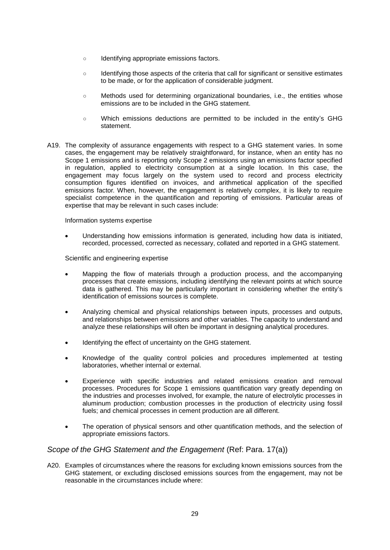- Identifying appropriate emissions factors.
- Identifying those aspects of the criteria that call for significant or sensitive estimates to be made, or for the application of considerable judgment.
- Methods used for determining organizational boundaries, i.e., the entities whose emissions are to be included in the GHG statement.
- Which emissions deductions are permitted to be included in the entity's GHG statement.
- A19. The complexity of assurance engagements with respect to a GHG statement varies. In some cases, the engagement may be relatively straightforward, for instance, when an entity has no Scope 1 emissions and is reporting only Scope 2 emissions using an emissions factor specified in regulation, applied to electricity consumption at a single location. In this case, the engagement may focus largely on the system used to record and process electricity consumption figures identified on invoices, and arithmetical application of the specified emissions factor. When, however, the engagement is relatively complex, it is likely to require specialist competence in the quantification and reporting of emissions. Particular areas of expertise that may be relevant in such cases include:

#### Information systems expertise

 Understanding how emissions information is generated, including how data is initiated, recorded, processed, corrected as necessary, collated and reported in a GHG statement.

Scientific and engineering expertise

- Mapping the flow of materials through a production process, and the accompanying processes that create emissions, including identifying the relevant points at which source data is gathered. This may be particularly important in considering whether the entity's identification of emissions sources is complete.
- Analyzing chemical and physical relationships between inputs, processes and outputs, and relationships between emissions and other variables. The capacity to understand and analyze these relationships will often be important in designing analytical procedures.
- Identifying the effect of uncertainty on the GHG statement.
- Knowledge of the quality control policies and procedures implemented at testing laboratories, whether internal or external.
- Experience with specific industries and related emissions creation and removal processes. Procedures for Scope 1 emissions quantification vary greatly depending on the industries and processes involved, for example, the nature of electrolytic processes in aluminum production; combustion processes in the production of electricity using fossil fuels; and chemical processes in cement production are all different.
- The operation of physical sensors and other quantification methods, and the selection of appropriate emissions factors.

## *Scope of the GHG Statement and the Engagement* (Ref: Para. 17(a))

A20. Examples of circumstances where the reasons for excluding known emissions sources from the GHG statement, or excluding disclosed emissions sources from the engagement, may not be reasonable in the circumstances include where: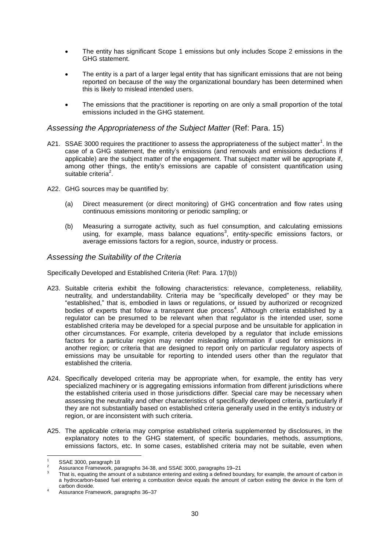- The entity has significant Scope 1 emissions but only includes Scope 2 emissions in the GHG statement.
- The entity is a part of a larger legal entity that has significant emissions that are not being reported on because of the way the organizational boundary has been determined when this is likely to mislead intended users.
- The emissions that the practitioner is reporting on are only a small proportion of the total emissions included in the GHG statement.

#### *Assessing the Appropriateness of the Subject Matter* (Ref: Para. 15)

- A21. SSAE 3000 requires the practitioner to assess the appropriateness of the subject matter<sup>1</sup>. In the case of a GHG statement, the entity's emissions (and removals and emissions deductions if applicable) are the subject matter of the engagement. That subject matter will be appropriate if, among other things, the entity's emissions are capable of consistent quantification using suitable criteria<sup>2</sup>.
- A22. GHG sources may be quantified by:
	- (a) Direct measurement (or direct monitoring) of GHG concentration and flow rates using continuous emissions monitoring or periodic sampling; or
	- (b) Measuring a surrogate activity, such as fuel consumption, and calculating emissions using, for example, mass balance equations<sup>3</sup>, entity-specific emissions factors, or average emissions factors for a region, source, industry or process.

#### *Assessing the Suitability of the Criteria*

Specifically Developed and Established Criteria (Ref: Para. 17(b))

- A23. Suitable criteria exhibit the following characteristics: relevance, completeness, reliability, neutrality, and understandability. Criteria may be "specifically developed" or they may be "established," that is, embodied in laws or regulations, or issued by authorized or recognized bodies of experts that follow a transparent due process<sup>4</sup>. Although criteria established by a regulator can be presumed to be relevant when that regulator is the intended user, some established criteria may be developed for a special purpose and be unsuitable for application in other circumstances. For example, criteria developed by a regulator that include emissions factors for a particular region may render misleading information if used for emissions in another region; or criteria that are designed to report only on particular regulatory aspects of emissions may be unsuitable for reporting to intended users other than the regulator that established the criteria.
- A24. Specifically developed criteria may be appropriate when, for example, the entity has very specialized machinery or is aggregating emissions information from different jurisdictions where the established criteria used in those jurisdictions differ. Special care may be necessary when assessing the neutrality and other characteristics of specifically developed criteria, particularly if they are not substantially based on established criteria generally used in the entity's industry or region, or are inconsistent with such criteria.
- A25. The applicable criteria may comprise established criteria supplemented by disclosures, in the explanatory notes to the GHG statement, of specific boundaries, methods, assumptions, emissions factors, etc. In some cases, established criteria may not be suitable, even when

<u>.</u>

 $\frac{1}{2}$  SSAE 3000, paragraph 18

<sup>2</sup> Assurance Framework, paragraphs 34-38, and SSAE 3000, paragraphs 19–21

<sup>3</sup> That is, equating the amount of a substance entering and exiting a defined boundary, for example, the amount of carbon in a hydrocarbon-based fuel entering a combustion device equals the amount of carbon exiting the device in the form of carbon dioxide.

<sup>4</sup> Assurance Framework, paragraphs 36–37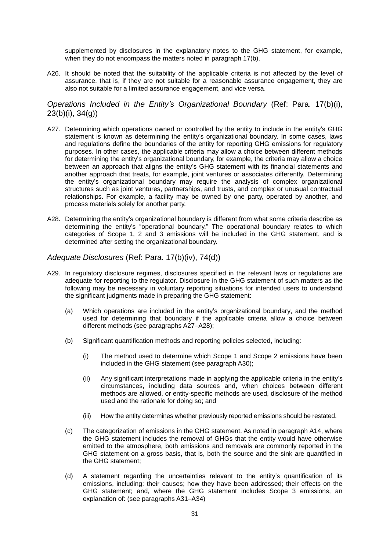supplemented by disclosures in the explanatory notes to the GHG statement, for example, when they do not encompass the matters noted in paragraph 17(b).

A26. It should be noted that the suitability of the applicable criteria is not affected by the level of assurance, that is, if they are not suitable for a reasonable assurance engagement, they are also not suitable for a limited assurance engagement, and vice versa.

## *Operations Included in the Entity's Organizational Boundary* (Ref: Para. 17(b)(i), 23(b)(i), 34(g))

- A27. Determining which operations owned or controlled by the entity to include in the entity's GHG statement is known as determining the entity's organizational boundary. In some cases, laws and regulations define the boundaries of the entity for reporting GHG emissions for regulatory purposes. In other cases, the applicable criteria may allow a choice between different methods for determining the entity's organizational boundary, for example, the criteria may allow a choice between an approach that aligns the entity's GHG statement with its financial statements and another approach that treats, for example, joint ventures or associates differently. Determining the entity's organizational boundary may require the analysis of complex organizational structures such as joint ventures, partnerships, and trusts, and complex or unusual contractual relationships. For example, a facility may be owned by one party, operated by another, and process materials solely for another party.
- A28. Determining the entity's organizational boundary is different from what some criteria describe as determining the entity's "operational boundary." The operational boundary relates to which categories of Scope 1, 2 and 3 emissions will be included in the GHG statement, and is determined after setting the organizational boundary.

#### *Adequate Disclosures* (Ref: Para. 17(b)(iv), 74(d))

- A29. In regulatory disclosure regimes, disclosures specified in the relevant laws or regulations are adequate for reporting to the regulator. Disclosure in the GHG statement of such matters as the following may be necessary in voluntary reporting situations for intended users to understand the significant judgments made in preparing the GHG statement:
	- (a) Which operations are included in the entity's organizational boundary, and the method used for determining that boundary if the applicable criteria allow a choice between different methods (see paragraphs A27–A28);
	- (b) Significant quantification methods and reporting policies selected, including:
		- (i) The method used to determine which Scope 1 and Scope 2 emissions have been included in the GHG statement (see paragraph A30);
		- (ii) Any significant interpretations made in applying the applicable criteria in the entity's circumstances, including data sources and, when choices between different methods are allowed, or entity-specific methods are used, disclosure of the method used and the rationale for doing so; and
		- (iii) How the entity determines whether previously reported emissions should be restated.
	- (c) The categorization of emissions in the GHG statement. As noted in paragraph A14, where the GHG statement includes the removal of GHGs that the entity would have otherwise emitted to the atmosphere, both emissions and removals are commonly reported in the GHG statement on a gross basis, that is, both the source and the sink are quantified in the GHG statement;
	- (d) A statement regarding the uncertainties relevant to the entity's quantification of its emissions, including: their causes; how they have been addressed; their effects on the GHG statement; and, where the GHG statement includes Scope 3 emissions, an explanation of: (see paragraphs A31–A34)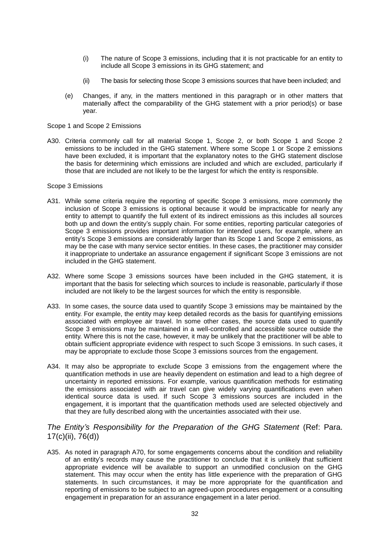- (i) The nature of Scope 3 emissions, including that it is not practicable for an entity to include all Scope 3 emissions in its GHG statement; and
- (ii) The basis for selecting those Scope 3 emissions sources that have been included; and
- (e) Changes, if any, in the matters mentioned in this paragraph or in other matters that materially affect the comparability of the GHG statement with a prior period(s) or base year.

#### Scope 1 and Scope 2 Emissions

A30. Criteria commonly call for all material Scope 1, Scope 2, or both Scope 1 and Scope 2 emissions to be included in the GHG statement. Where some Scope 1 or Scope 2 emissions have been excluded, it is important that the explanatory notes to the GHG statement disclose the basis for determining which emissions are included and which are excluded, particularly if those that are included are not likely to be the largest for which the entity is responsible.

#### Scope 3 Emissions

- A31. While some criteria require the reporting of specific Scope 3 emissions, more commonly the inclusion of Scope 3 emissions is optional because it would be impracticable for nearly any entity to attempt to quantify the full extent of its indirect emissions as this includes all sources both up and down the entity's supply chain. For some entities, reporting particular categories of Scope 3 emissions provides important information for intended users, for example, where an entity's Scope 3 emissions are considerably larger than its Scope 1 and Scope 2 emissions, as may be the case with many service sector entities. In these cases, the practitioner may consider it inappropriate to undertake an assurance engagement if significant Scope 3 emissions are not included in the GHG statement.
- A32. Where some Scope 3 emissions sources have been included in the GHG statement, it is important that the basis for selecting which sources to include is reasonable, particularly if those included are not likely to be the largest sources for which the entity is responsible.
- A33. In some cases, the source data used to quantify Scope 3 emissions may be maintained by the entity. For example, the entity may keep detailed records as the basis for quantifying emissions associated with employee air travel. In some other cases, the source data used to quantify Scope 3 emissions may be maintained in a well-controlled and accessible source outside the entity. Where this is not the case, however, it may be unlikely that the practitioner will be able to obtain sufficient appropriate evidence with respect to such Scope 3 emissions. In such cases, it may be appropriate to exclude those Scope 3 emissions sources from the engagement.
- A34. It may also be appropriate to exclude Scope 3 emissions from the engagement where the quantification methods in use are heavily dependent on estimation and lead to a high degree of uncertainty in reported emissions. For example, various quantification methods for estimating the emissions associated with air travel can give widely varying quantifications even when identical source data is used. If such Scope 3 emissions sources are included in the engagement, it is important that the quantification methods used are selected objectively and that they are fully described along with the uncertainties associated with their use.

## *The Entity's Responsibility for the Preparation of the GHG Statement* (Ref: Para. 17(c)(ii), 76(d))

A35. As noted in paragraph A70, for some engagements concerns about the condition and reliability of an entity's records may cause the practitioner to conclude that it is unlikely that sufficient appropriate evidence will be available to support an unmodified conclusion on the GHG statement. This may occur when the entity has little experience with the preparation of GHG statements. In such circumstances, it may be more appropriate for the quantification and reporting of emissions to be subject to an agreed-upon procedures engagement or a consulting engagement in preparation for an assurance engagement in a later period.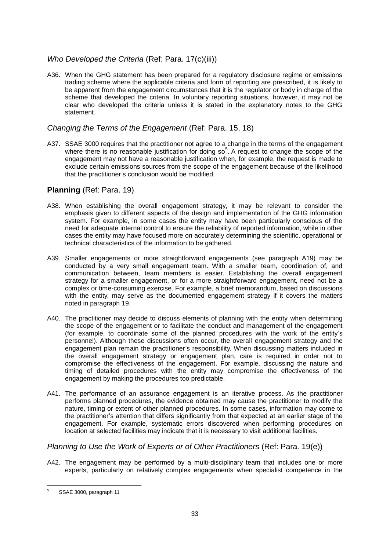## *Who Developed the Criteria* (Ref: Para. 17(c)(iii))

A36. When the GHG statement has been prepared for a regulatory disclosure regime or emissions trading scheme where the applicable criteria and form of reporting are prescribed, it is likely to be apparent from the engagement circumstances that it is the regulator or body in charge of the scheme that developed the criteria. In voluntary reporting situations, however, it may not be clear who developed the criteria unless it is stated in the explanatory notes to the GHG statement.

## *Changing the Terms of the Engagement* (Ref: Para. 15, 18)

A37. SSAE 3000 requires that the practitioner not agree to a change in the terms of the engagement where there is no reasonable justification for doing  $so<sup>5</sup>$ . A request to change the scope of the engagement may not have a reasonable justification when, for example, the request is made to exclude certain emissions sources from the scope of the engagement because of the likelihood that the practitioner's conclusion would be modified.

## **Planning** (Ref: Para. 19)

- A38. When establishing the overall engagement strategy, it may be relevant to consider the emphasis given to different aspects of the design and implementation of the GHG information system. For example, in some cases the entity may have been particularly conscious of the need for adequate internal control to ensure the reliability of reported information, while in other cases the entity may have focused more on accurately determining the scientific, operational or technical characteristics of the information to be gathered.
- A39. Smaller engagements or more straightforward engagements (see paragraph A19) may be conducted by a very small engagement team. With a smaller team, coordination of, and communication between, team members is easier. Establishing the overall engagement strategy for a smaller engagement, or for a more straightforward engagement, need not be a complex or time-consuming exercise. For example, a brief memorandum, based on discussions with the entity, may serve as the documented engagement strategy if it covers the matters noted in paragraph 19.
- A40. The practitioner may decide to discuss elements of planning with the entity when determining the scope of the engagement or to facilitate the conduct and management of the engagement (for example, to coordinate some of the planned procedures with the work of the entity's personnel). Although these discussions often occur, the overall engagement strategy and the engagement plan remain the practitioner's responsibility. When discussing matters included in the overall engagement strategy or engagement plan, care is required in order not to compromise the effectiveness of the engagement. For example, discussing the nature and timing of detailed procedures with the entity may compromise the effectiveness of the engagement by making the procedures too predictable.
- A41. The performance of an assurance engagement is an iterative process. As the practitioner performs planned procedures, the evidence obtained may cause the practitioner to modify the nature, timing or extent of other planned procedures. In some cases, information may come to the practitioner's attention that differs significantly from that expected at an earlier stage of the engagement. For example, systematic errors discovered when performing procedures on location at selected facilities may indicate that it is necessary to visit additional facilities.

## *Planning to Use the Work of Experts or of Other Practitioners (Ref: Para. 19(e))*

A42. The engagement may be performed by a multi-disciplinary team that includes one or more experts, particularly on relatively complex engagements when specialist competence in the

 $\overline{5}$ <sup>5</sup> SSAE 3000, paragraph 11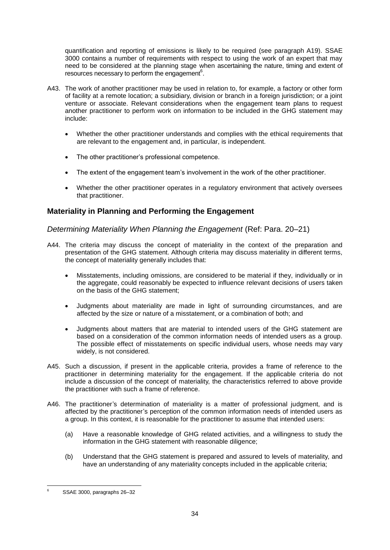quantification and reporting of emissions is likely to be required (see paragraph A19). SSAE 3000 contains a number of requirements with respect to using the work of an expert that may need to be considered at the planning stage when ascertaining the nature, timing and extent of resources necessary to perform the engagement<sup>6</sup>.

- A43. The work of another practitioner may be used in relation to, for example, a factory or other form of facility at a remote location; a subsidiary, division or branch in a foreign jurisdiction; or a joint venture or associate. Relevant considerations when the engagement team plans to request another practitioner to perform work on information to be included in the GHG statement may include:
	- Whether the other practitioner understands and complies with the ethical requirements that are relevant to the engagement and, in particular, is independent.
	- The other practitioner's professional competence.
	- The extent of the engagement team's involvement in the work of the other practitioner.
	- Whether the other practitioner operates in a regulatory environment that actively oversees that practitioner.

## **Materiality in Planning and Performing the Engagement**

*Determining Materiality When Planning the Engagement* (Ref: Para. 20–21)

- A44. The criteria may discuss the concept of materiality in the context of the preparation and presentation of the GHG statement. Although criteria may discuss materiality in different terms, the concept of materiality generally includes that:
	- Misstatements, including omissions, are considered to be material if they, individually or in the aggregate, could reasonably be expected to influence relevant decisions of users taken on the basis of the GHG statement;
	- Judgments about materiality are made in light of surrounding circumstances, and are affected by the size or nature of a misstatement, or a combination of both; and
	- Judgments about matters that are material to intended users of the GHG statement are based on a consideration of the common information needs of intended users as a group. The possible effect of misstatements on specific individual users, whose needs may vary widely, is not considered.
- A45. Such a discussion, if present in the applicable criteria, provides a frame of reference to the practitioner in determining materiality for the engagement. If the applicable criteria do not include a discussion of the concept of materiality, the characteristics referred to above provide the practitioner with such a frame of reference.
- A46. The practitioner's determination of materiality is a matter of professional judgment, and is affected by the practitioner's perception of the common information needs of intended users as a group. In this context, it is reasonable for the practitioner to assume that intended users:
	- (a) Have a reasonable knowledge of GHG related activities, and a willingness to study the information in the GHG statement with reasonable diligence;
	- (b) Understand that the GHG statement is prepared and assured to levels of materiality, and have an understanding of any materiality concepts included in the applicable criteria;

<sup>1</sup> <sup>6</sup> SSAE 3000, paragraphs 26*–*32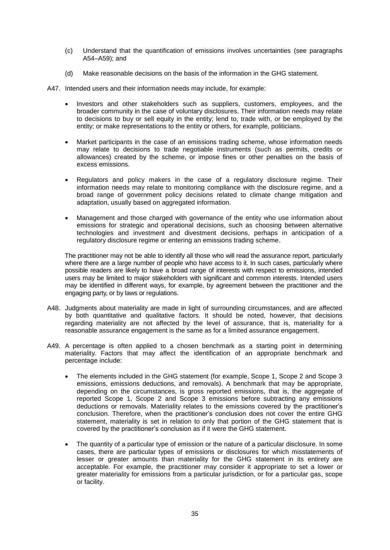- (c) Understand that the quantification of emissions involves uncertainties (see paragraphs A54–A59); and
- (d) Make reasonable decisions on the basis of the information in the GHG statement.
- A47. Intended users and their information needs may include, for example:
	- Investors and other stakeholders such as suppliers, customers, employees, and the broader community in the case of voluntary disclosures. Their information needs may relate to decisions to buy or sell equity in the entity; lend to, trade with, or be employed by the entity; or make representations to the entity or others, for example, politicians.
	- Market participants in the case of an emissions trading scheme, whose information needs may relate to decisions to trade negotiable instruments (such as permits, credits or allowances) created by the scheme, or impose fines or other penalties on the basis of excess emissions.
	- Regulators and policy makers in the case of a regulatory disclosure regime. Their information needs may relate to monitoring compliance with the disclosure regime, and a broad range of government policy decisions related to climate change mitigation and adaptation, usually based on aggregated information.
	- Management and those charged with governance of the entity who use information about emissions for strategic and operational decisions, such as choosing between alternative technologies and investment and divestment decisions, perhaps in anticipation of a regulatory disclosure regime or entering an emissions trading scheme.

The practitioner may not be able to identify all those who will read the assurance report, particularly where there are a large number of people who have access to it. In such cases, particularly where possible readers are likely to have a broad range of interests with respect to emissions, intended users may be limited to major stakeholders with significant and common interests. Intended users may be identified in different ways, for example, by agreement between the practitioner and the engaging party, or by laws or regulations.

- A48. Judgments about materiality are made in light of surrounding circumstances, and are affected by both quantitative and qualitative factors. It should be noted, however, that decisions regarding materiality are not affected by the level of assurance, that is, materiality for a reasonable assurance engagement is the same as for a limited assurance engagement.
- A49. A percentage is often applied to a chosen benchmark as a starting point in determining materiality. Factors that may affect the identification of an appropriate benchmark and percentage include:
	- The elements included in the GHG statement (for example, Scope 1, Scope 2 and Scope 3 emissions, emissions deductions, and removals). A benchmark that may be appropriate, depending on the circumstances, is gross reported emissions, that is, the aggregate of reported Scope 1, Scope 2 and Scope 3 emissions before subtracting any emissions deductions or removals. Materiality relates to the emissions covered by the practitioner's conclusion. Therefore, when the practitioner's conclusion does not cover the entire GHG statement, materiality is set in relation to only that portion of the GHG statement that is covered by the practitioner's conclusion as if it were the GHG statement.
	- The quantity of a particular type of emission or the nature of a particular disclosure. In some cases, there are particular types of emissions or disclosures for which misstatements of lesser or greater amounts than materiality for the GHG statement in its entirety are acceptable. For example, the practitioner may consider it appropriate to set a lower or greater materiality for emissions from a particular jurisdiction, or for a particular gas, scope or facility.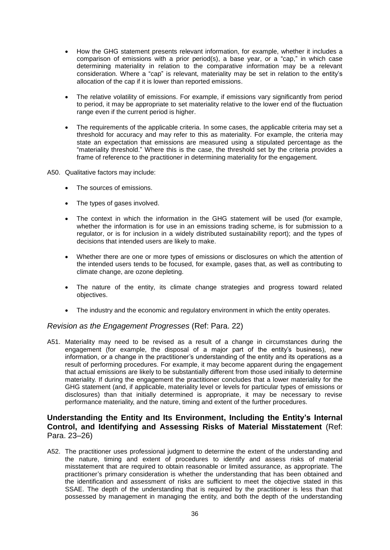- How the GHG statement presents relevant information, for example, whether it includes a comparison of emissions with a prior period(s), a base year, or a "cap," in which case determining materiality in relation to the comparative information may be a relevant consideration. Where a "cap" is relevant, materiality may be set in relation to the entity's allocation of the cap if it is lower than reported emissions.
- The relative volatility of emissions. For example, if emissions vary significantly from period to period, it may be appropriate to set materiality relative to the lower end of the fluctuation range even if the current period is higher.
- The requirements of the applicable criteria. In some cases, the applicable criteria may set a threshold for accuracy and may refer to this as materiality. For example, the criteria may state an expectation that emissions are measured using a stipulated percentage as the "materiality threshold." Where this is the case, the threshold set by the criteria provides a frame of reference to the practitioner in determining materiality for the engagement.

#### A50. Qualitative factors may include:

- The sources of emissions.
- The types of gases involved.
- The context in which the information in the GHG statement will be used (for example, whether the information is for use in an emissions trading scheme, is for submission to a regulator, or is for inclusion in a widely distributed sustainability report); and the types of decisions that intended users are likely to make.
- Whether there are one or more types of emissions or disclosures on which the attention of the intended users tends to be focused, for example, gases that, as well as contributing to climate change, are ozone depleting.
- The nature of the entity, its climate change strategies and progress toward related objectives.
- The industry and the economic and regulatory environment in which the entity operates.

## *Revision as the Engagement Progresses* (Ref: Para. 22)

A51. Materiality may need to be revised as a result of a change in circumstances during the engagement (for example, the disposal of a major part of the entity's business), new information, or a change in the practitioner's understanding of the entity and its operations as a result of performing procedures. For example, it may become apparent during the engagement that actual emissions are likely to be substantially different from those used initially to determine materiality. If during the engagement the practitioner concludes that a lower materiality for the GHG statement (and, if applicable, materiality level or levels for particular types of emissions or disclosures) than that initially determined is appropriate, it may be necessary to revise performance materiality, and the nature, timing and extent of the further procedures.

## **Understanding the Entity and Its Environment, Including the Entity's Internal Control, and Identifying and Assessing Risks of Material Misstatement** (Ref: Para. 23*–*26)

A52. The practitioner uses professional judgment to determine the extent of the understanding and the nature, timing and extent of procedures to identify and assess risks of material misstatement that are required to obtain reasonable or limited assurance, as appropriate. The practitioner's primary consideration is whether the understanding that has been obtained and the identification and assessment of risks are sufficient to meet the objective stated in this SSAE. The depth of the understanding that is required by the practitioner is less than that possessed by management in managing the entity, and both the depth of the understanding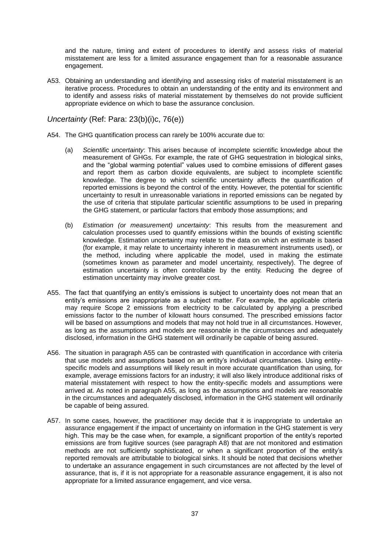and the nature, timing and extent of procedures to identify and assess risks of material misstatement are less for a limited assurance engagement than for a reasonable assurance engagement.

A53. Obtaining an understanding and identifying and assessing risks of material misstatement is an iterative process. Procedures to obtain an understanding of the entity and its environment and to identify and assess risks of material misstatement by themselves do not provide sufficient appropriate evidence on which to base the assurance conclusion.

#### *Uncertainty* (Ref: Para: 23(b)(i)c, 76(e))

- A54. The GHG quantification process can rarely be 100% accurate due to:
	- (a) *Scientific uncertainty*: This arises because of incomplete scientific knowledge about the measurement of GHGs. For example, the rate of GHG sequestration in biological sinks, and the "global warming potential" values used to combine emissions of different gases and report them as carbon dioxide equivalents, are subject to incomplete scientific knowledge. The degree to which scientific uncertainty affects the quantification of reported emissions is beyond the control of the entity. However, the potential for scientific uncertainty to result in unreasonable variations in reported emissions can be negated by the use of criteria that stipulate particular scientific assumptions to be used in preparing the GHG statement, or particular factors that embody those assumptions; and
	- (b) *Estimation (or measurement) uncertainty*: This results from the measurement and calculation processes used to quantify emissions within the bounds of existing scientific knowledge. Estimation uncertainty may relate to the data on which an estimate is based (for example, it may relate to uncertainty inherent in measurement instruments used), or the method, including where applicable the model, used in making the estimate (sometimes known as parameter and model uncertainty, respectively). The degree of estimation uncertainty is often controllable by the entity. Reducing the degree of estimation uncertainty may involve greater cost.
- A55. The fact that quantifying an entity's emissions is subject to uncertainty does not mean that an entity's emissions are inappropriate as a subject matter. For example, the applicable criteria may require Scope 2 emissions from electricity to be calculated by applying a prescribed emissions factor to the number of kilowatt hours consumed. The prescribed emissions factor will be based on assumptions and models that may not hold true in all circumstances. However, as long as the assumptions and models are reasonable in the circumstances and adequately disclosed, information in the GHG statement will ordinarily be capable of being assured.
- A56. The situation in paragraph A55 can be contrasted with quantification in accordance with criteria that use models and assumptions based on an entity's individual circumstances. Using entityspecific models and assumptions will likely result in more accurate quantification than using, for example, average emissions factors for an industry; it will also likely introduce additional risks of material misstatement with respect to how the entity-specific models and assumptions were arrived at. As noted in paragraph A55, as long as the assumptions and models are reasonable in the circumstances and adequately disclosed, information in the GHG statement will ordinarily be capable of being assured.
- A57. In some cases, however, the practitioner may decide that it is inappropriate to undertake an assurance engagement if the impact of uncertainty on information in the GHG statement is very high. This may be the case when, for example, a significant proportion of the entity's reported emissions are from fugitive sources (see paragraph A8) that are not monitored and estimation methods are not sufficiently sophisticated, or when a significant proportion of the entity's reported removals are attributable to biological sinks. It should be noted that decisions whether to undertake an assurance engagement in such circumstances are not affected by the level of assurance, that is, if it is not appropriate for a reasonable assurance engagement, it is also not appropriate for a limited assurance engagement, and vice versa.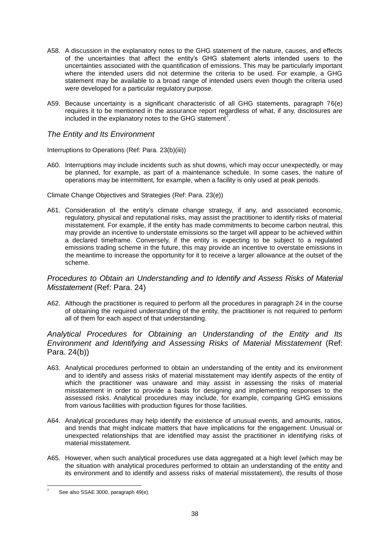- A58. A discussion in the explanatory notes to the GHG statement of the nature, causes, and effects of the uncertainties that affect the entity's GHG statement alerts intended users to the uncertainties associated with the quantification of emissions. This may be particularly important where the intended users did not determine the criteria to be used. For example, a GHG statement may be available to a broad range of intended users even though the criteria used were developed for a particular regulatory purpose.
- A59. Because uncertainty is a significant characteristic of all GHG statements, paragraph 76(e) requires it to be mentioned in the assurance report regardless of what, if any, disclosures are included in the explanatory notes to the GHG statement<sup>7</sup>.

## *The Entity and Its Environment*

Interruptions to Operations (Ref: Para. 23(b)(iii))

A60. Interruptions may include incidents such as shut downs, which may occur unexpectedly, or may be planned, for example, as part of a maintenance schedule. In some cases, the nature of operations may be intermittent, for example, when a facility is only used at peak periods.

Climate Change Objectives and Strategies (Ref: Para. 23(e))

A61. Consideration of the entity's climate change strategy, if any, and associated economic, regulatory, physical and reputational risks, may assist the practitioner to identify risks of material misstatement. For example, if the entity has made commitments to become carbon neutral, this may provide an incentive to understate emissions so the target will appear to be achieved within a declared timeframe. Conversely, if the entity is expecting to be subject to a regulated emissions trading scheme in the future, this may provide an incentive to overstate emissions in the meantime to increase the opportunity for it to receive a larger allowance at the outset of the scheme.

## *Procedures to Obtain an Understanding and to Identify and Assess Risks of Material Misstatement* (Ref: Para. 24)

A62. Although the practitioner is required to perform all the procedures in paragraph 24 in the course of obtaining the required understanding of the entity, the practitioner is not required to perform all of them for each aspect of that understanding.

## *Analytical Procedures for Obtaining an Understanding of the Entity and Its Environment and Identifying and Assessing Risks of Material Misstatement* (Ref: Para. 24(b))

- A63. Analytical procedures performed to obtain an understanding of the entity and its environment and to identify and assess risks of material misstatement may identify aspects of the entity of which the practitioner was unaware and may assist in assessing the risks of material misstatement in order to provide a basis for designing and implementing responses to the assessed risks. Analytical procedures may include, for example, comparing GHG emissions from various facilities with production figures for those facilities.
- A64. Analytical procedures may help identify the existence of unusual events, and amounts, ratios, and trends that might indicate matters that have implications for the engagement. Unusual or unexpected relationships that are identified may assist the practitioner in identifying risks of material misstatement.
- A65. However, when such analytical procedures use data aggregated at a high level (which may be the situation with analytical procedures performed to obtain an understanding of the entity and its environment and to identify and assess risks of material misstatement), the results of those

<sup>1</sup> See also SSAE 3000, paragraph 49(e).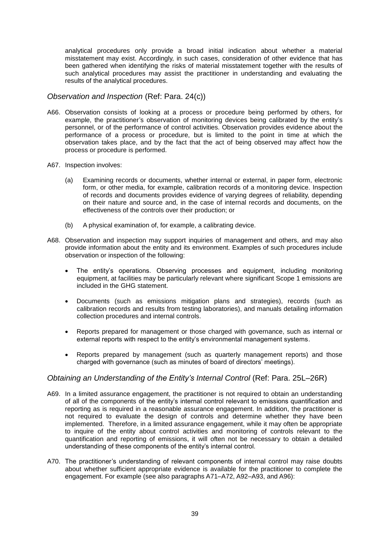analytical procedures only provide a broad initial indication about whether a material misstatement may exist. Accordingly, in such cases, consideration of other evidence that has been gathered when identifying the risks of material misstatement together with the results of such analytical procedures may assist the practitioner in understanding and evaluating the results of the analytical procedures.

## *Observation and Inspection* (Ref: Para. 24(c))

- A66. Observation consists of looking at a process or procedure being performed by others, for example, the practitioner's observation of monitoring devices being calibrated by the entity's personnel, or of the performance of control activities. Observation provides evidence about the performance of a process or procedure, but is limited to the point in time at which the observation takes place, and by the fact that the act of being observed may affect how the process or procedure is performed.
- A67. Inspection involves:
	- (a) Examining records or documents, whether internal or external, in paper form, electronic form, or other media, for example, calibration records of a monitoring device. Inspection of records and documents provides evidence of varying degrees of reliability, depending on their nature and source and, in the case of internal records and documents, on the effectiveness of the controls over their production; or
	- (b) A physical examination of, for example, a calibrating device.
- A68. Observation and inspection may support inquiries of management and others, and may also provide information about the entity and its environment. Examples of such procedures include observation or inspection of the following:
	- The entity's operations. Observing processes and equipment, including monitoring equipment, at facilities may be particularly relevant where significant Scope 1 emissions are included in the GHG statement.
	- Documents (such as emissions mitigation plans and strategies), records (such as calibration records and results from testing laboratories), and manuals detailing information collection procedures and internal controls.
	- Reports prepared for management or those charged with governance, such as internal or external reports with respect to the entity's environmental management systems.
	- Reports prepared by management (such as quarterly management reports) and those charged with governance (such as minutes of board of directors' meetings).

## *Obtaining an Understanding of the Entity's Internal Control* (Ref: Para. 25L–26R)

- A69. In a limited assurance engagement, the practitioner is not required to obtain an understanding of all of the components of the entity's internal control relevant to emissions quantification and reporting as is required in a reasonable assurance engagement. In addition, the practitioner is not required to evaluate the design of controls and determine whether they have been implemented. Therefore, in a limited assurance engagement, while it may often be appropriate to inquire of the entity about control activities and monitoring of controls relevant to the quantification and reporting of emissions, it will often not be necessary to obtain a detailed understanding of these components of the entity's internal control.
- A70. The practitioner's understanding of relevant components of internal control may raise doubts about whether sufficient appropriate evidence is available for the practitioner to complete the engagement. For example (see also paragraphs A71–A72, A92–A93, and A96):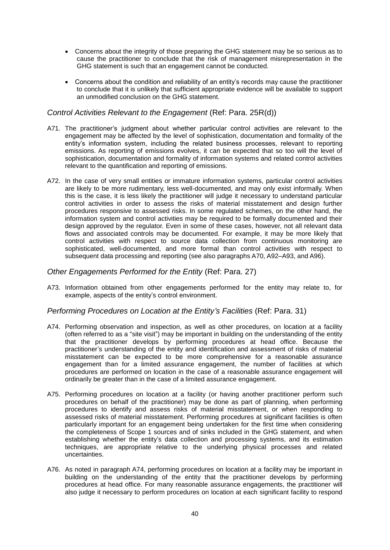- Concerns about the integrity of those preparing the GHG statement may be so serious as to cause the practitioner to conclude that the risk of management misrepresentation in the GHG statement is such that an engagement cannot be conducted.
- Concerns about the condition and reliability of an entity's records may cause the practitioner to conclude that it is unlikely that sufficient appropriate evidence will be available to support an unmodified conclusion on the GHG statement.

## *Control Activities Relevant to the Engagement* (Ref: Para. 25R(d))

- A71. The practitioner's judgment about whether particular control activities are relevant to the engagement may be affected by the level of sophistication, documentation and formality of the entity's information system, including the related business processes, relevant to reporting emissions. As reporting of emissions evolves, it can be expected that so too will the level of sophistication, documentation and formality of information systems and related control activities relevant to the quantification and reporting of emissions.
- A72. In the case of very small entities or immature information systems, particular control activities are likely to be more rudimentary, less well-documented, and may only exist informally. When this is the case, it is less likely the practitioner will judge it necessary to understand particular control activities in order to assess the risks of material misstatement and design further procedures responsive to assessed risks. In some regulated schemes, on the other hand, the information system and control activities may be required to be formally documented and their design approved by the regulator. Even in some of these cases, however, not all relevant data flows and associated controls may be documented. For example, it may be more likely that control activities with respect to source data collection from continuous monitoring are sophisticated, well-documented, and more formal than control activities with respect to subsequent data processing and reporting (see also paragraphs A70, A92–A93, and A96).

#### *Other Engagements Performed for the Entity* (Ref: Para. 27)

A73. Information obtained from other engagements performed for the entity may relate to, for example, aspects of the entity's control environment.

#### *Performing Procedures on Location at the Entity's Facilities* (Ref: Para. 31)

- A74. Performing observation and inspection, as well as other procedures, on location at a facility (often referred to as a "site visit") may be important in building on the understanding of the entity that the practitioner develops by performing procedures at head office. Because the practitioner's understanding of the entity and identification and assessment of risks of material misstatement can be expected to be more comprehensive for a reasonable assurance engagement than for a limited assurance engagement, the number of facilities at which procedures are performed on location in the case of a reasonable assurance engagement will ordinarily be greater than in the case of a limited assurance engagement.
- A75. Performing procedures on location at a facility (or having another practitioner perform such procedures on behalf of the practitioner) may be done as part of planning, when performing procedures to identify and assess risks of material misstatement, or when responding to assessed risks of material misstatement. Performing procedures at significant facilities is often particularly important for an engagement being undertaken for the first time when considering the completeness of Scope 1 sources and of sinks included in the GHG statement, and when establishing whether the entity's data collection and processing systems, and its estimation techniques, are appropriate relative to the underlying physical processes and related uncertainties.
- A76. As noted in paragraph A74, performing procedures on location at a facility may be important in building on the understanding of the entity that the practitioner develops by performing procedures at head office. For many reasonable assurance engagements, the practitioner will also judge it necessary to perform procedures on location at each significant facility to respond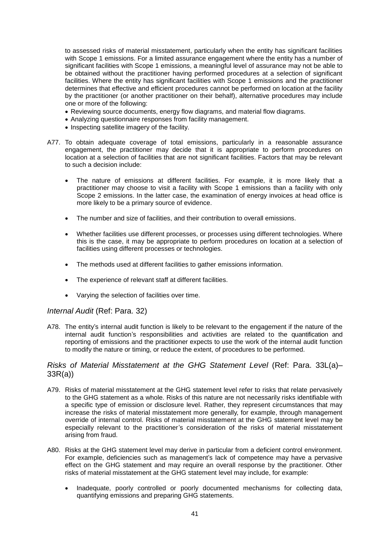to assessed risks of material misstatement, particularly when the entity has significant facilities with Scope 1 emissions. For a limited assurance engagement where the entity has a number of significant facilities with Scope 1 emissions, a meaningful level of assurance may not be able to be obtained without the practitioner having performed procedures at a selection of significant facilities. Where the entity has significant facilities with Scope 1 emissions and the practitioner determines that effective and efficient procedures cannot be performed on location at the facility by the practitioner (or another practitioner on their behalf), alternative procedures may include one or more of the following:

- Reviewing source documents, energy flow diagrams, and material flow diagrams.
- Analyzing questionnaire responses from facility management.
- Inspecting satellite imagery of the facility.
- A77. To obtain adequate coverage of total emissions, particularly in a reasonable assurance engagement, the practitioner may decide that it is appropriate to perform procedures on location at a selection of facilities that are not significant facilities. Factors that may be relevant to such a decision include:
	- The nature of emissions at different facilities. For example, it is more likely that a practitioner may choose to visit a facility with Scope 1 emissions than a facility with only Scope 2 emissions. In the latter case, the examination of energy invoices at head office is more likely to be a primary source of evidence.
	- The number and size of facilities, and their contribution to overall emissions.
	- Whether facilities use different processes, or processes using different technologies. Where this is the case, it may be appropriate to perform procedures on location at a selection of facilities using different processes or technologies.
	- The methods used at different facilities to gather emissions information.
	- The experience of relevant staff at different facilities.
	- Varying the selection of facilities over time.

#### *Internal Audit* (Ref: Para. 32)

A78. The entity's internal audit function is likely to be relevant to the engagement if the nature of the internal audit function's responsibilities and activities are related to the quantification and reporting of emissions and the practitioner expects to use the work of the internal audit function to modify the nature or timing, or reduce the extent, of procedures to be performed.

#### *Risks of Material Misstatement at the GHG Statement Level* (Ref: Para. 33L(a)– 33R(a))

- A79. Risks of material misstatement at the GHG statement level refer to risks that relate pervasively to the GHG statement as a whole. Risks of this nature are not necessarily risks identifiable with a specific type of emission or disclosure level. Rather, they represent circumstances that may increase the risks of material misstatement more generally, for example, through management override of internal control. Risks of material misstatement at the GHG statement level may be especially relevant to the practitioner's consideration of the risks of material misstatement arising from fraud.
- A80. Risks at the GHG statement level may derive in particular from a deficient control environment. For example, deficiencies such as management's lack of competence may have a pervasive effect on the GHG statement and may require an overall response by the practitioner. Other risks of material misstatement at the GHG statement level may include, for example:
	- Inadequate, poorly controlled or poorly documented mechanisms for collecting data, quantifying emissions and preparing GHG statements.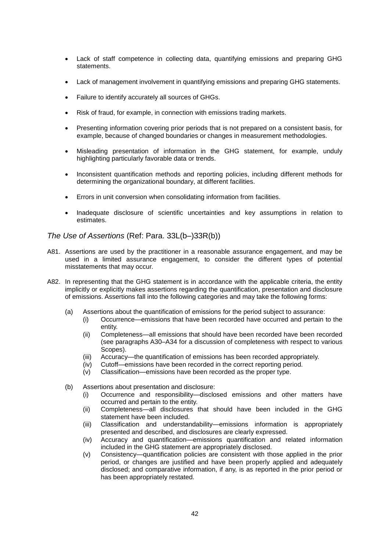- Lack of staff competence in collecting data, quantifying emissions and preparing GHG statements.
- Lack of management involvement in quantifying emissions and preparing GHG statements.
- Failure to identify accurately all sources of GHGs.
- Risk of fraud, for example, in connection with emissions trading markets.
- Presenting information covering prior periods that is not prepared on a consistent basis, for example, because of changed boundaries or changes in measurement methodologies.
- Misleading presentation of information in the GHG statement, for example, unduly highlighting particularly favorable data or trends.
- Inconsistent quantification methods and reporting policies, including different methods for determining the organizational boundary, at different facilities.
- Errors in unit conversion when consolidating information from facilities.
- Inadequate disclosure of scientific uncertainties and key assumptions in relation to estimates.

#### *The Use of Assertions* (Ref: Para. 33L(b*–*)33R(b))

- A81. Assertions are used by the practitioner in a reasonable assurance engagement, and may be used in a limited assurance engagement, to consider the different types of potential misstatements that may occur.
- A82. In representing that the GHG statement is in accordance with the applicable criteria, the entity implicitly or explicitly makes assertions regarding the quantification, presentation and disclosure of emissions. Assertions fall into the following categories and may take the following forms:
	- (a) Assertions about the quantification of emissions for the period subject to assurance:
		- (i) Occurrence—emissions that have been recorded have occurred and pertain to the entity.
		- (ii) Completeness—all emissions that should have been recorded have been recorded (see paragraphs A30–A34 for a discussion of completeness with respect to various Scopes).
		- (iii) Accuracy—the quantification of emissions has been recorded appropriately.
		- (iv) Cutoff—emissions have been recorded in the correct reporting period.
		- (v) Classification—emissions have been recorded as the proper type.
	- (b) Assertions about presentation and disclosure:
		- (i) Occurrence and responsibility—disclosed emissions and other matters have occurred and pertain to the entity.
		- (ii) Completeness—all disclosures that should have been included in the GHG statement have been included.
		- (iii) Classification and understandability—emissions information is appropriately presented and described, and disclosures are clearly expressed.
		- (iv) Accuracy and quantification—emissions quantification and related information included in the GHG statement are appropriately disclosed.
		- (v) Consistency—quantification policies are consistent with those applied in the prior period, or changes are justified and have been properly applied and adequately disclosed; and comparative information, if any, is as reported in the prior period or has been appropriately restated.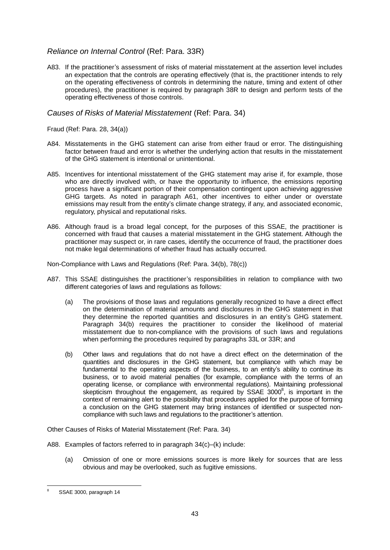## *Reliance on Internal Control* (Ref: Para. 33R)

A83. If the practitioner's assessment of risks of material misstatement at the assertion level includes an expectation that the controls are operating effectively (that is, the practitioner intends to rely on the operating effectiveness of controls in determining the nature, timing and extent of other procedures), the practitioner is required by paragraph 38R to design and perform tests of the operating effectiveness of those controls.

## *Causes of Risks of Material Misstatement* (Ref: Para. 34)

Fraud (Ref: Para. 28, 34(a))

- A84. Misstatements in the GHG statement can arise from either fraud or error. The distinguishing factor between fraud and error is whether the underlying action that results in the misstatement of the GHG statement is intentional or unintentional.
- A85. Incentives for intentional misstatement of the GHG statement may arise if, for example, those who are directly involved with, or have the opportunity to influence, the emissions reporting process have a significant portion of their compensation contingent upon achieving aggressive GHG targets. As noted in paragraph A61, other incentives to either under or overstate emissions may result from the entity's climate change strategy, if any, and associated economic, regulatory, physical and reputational risks.
- A86. Although fraud is a broad legal concept, for the purposes of this SSAE, the practitioner is concerned with fraud that causes a material misstatement in the GHG statement. Although the practitioner may suspect or, in rare cases, identify the occurrence of fraud, the practitioner does not make legal determinations of whether fraud has actually occurred.

Non-Compliance with Laws and Regulations (Ref: Para. 34(b), 78(c))

- A87. This SSAE distinguishes the practitioner's responsibilities in relation to compliance with two different categories of laws and regulations as follows:
	- (a) The provisions of those laws and regulations generally recognized to have a direct effect on the determination of material amounts and disclosures in the GHG statement in that they determine the reported quantities and disclosures in an entity's GHG statement. Paragraph 34(b) requires the practitioner to consider the likelihood of material misstatement due to non-compliance with the provisions of such laws and regulations when performing the procedures required by paragraphs 33L or 33R; and
	- (b) Other laws and regulations that do not have a direct effect on the determination of the quantities and disclosures in the GHG statement, but compliance with which may be fundamental to the operating aspects of the business, to an entity's ability to continue its business, or to avoid material penalties (for example, compliance with the terms of an operating license, or compliance with environmental regulations). Maintaining professional skepticism throughout the engagement, as required by SSAE  $3000^8$ , is important in the context of remaining alert to the possibility that procedures applied for the purpose of forming a conclusion on the GHG statement may bring instances of identified or suspected noncompliance with such laws and regulations to the practitioner's attention.

Other Causes of Risks of Material Misstatement (Ref: Para. 34)

- A88. Examples of factors referred to in paragraph 34(c)–(k) include:
	- (a) Omission of one or more emissions sources is more likely for sources that are less obvious and may be overlooked, such as fugitive emissions.

<sup>1</sup> <sup>8</sup> SSAE 3000, paragraph 14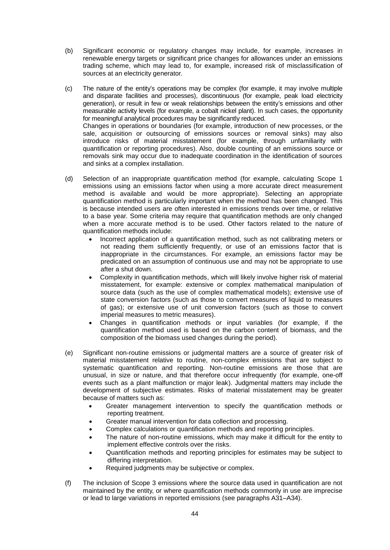- (b) Significant economic or regulatory changes may include, for example, increases in renewable energy targets or significant price changes for allowances under an emissions trading scheme, which may lead to, for example, increased risk of misclassification of sources at an electricity generator.
- (c) The nature of the entity's operations may be complex (for example, it may involve multiple and disparate facilities and processes), discontinuous (for example, peak load electricity generation), or result in few or weak relationships between the entity's emissions and other measurable activity levels (for example, a cobalt nickel plant). In such cases, the opportunity for meaningful analytical procedures may be significantly reduced. Changes in operations or boundaries (for example, introduction of new processes, or the sale, acquisition or outsourcing of emissions sources or removal sinks) may also introduce risks of material misstatement (for example, through unfamiliarity with quantification or reporting procedures). Also, double counting of an emissions source or removals sink may occur due to inadequate coordination in the identification of sources and sinks at a complex installation.
- (d) Selection of an inappropriate quantification method (for example, calculating Scope 1 emissions using an emissions factor when using a more accurate direct measurement method is available and would be more appropriate). Selecting an appropriate quantification method is particularly important when the method has been changed. This is because intended users are often interested in emissions trends over time, or relative to a base year. Some criteria may require that quantification methods are only changed when a more accurate method is to be used. Other factors related to the nature of quantification methods include:
	- Incorrect application of a quantification method, such as not calibrating meters or not reading them sufficiently frequently, or use of an emissions factor that is inappropriate in the circumstances. For example, an emissions factor may be predicated on an assumption of continuous use and may not be appropriate to use after a shut down.
	- Complexity in quantification methods, which will likely involve higher risk of material misstatement, for example: extensive or complex mathematical manipulation of source data (such as the use of complex mathematical models); extensive use of state conversion factors (such as those to convert measures of liquid to measures of gas); or extensive use of unit conversion factors (such as those to convert imperial measures to metric measures).
	- Changes in quantification methods or input variables (for example, if the quantification method used is based on the carbon content of biomass, and the composition of the biomass used changes during the period).
- (e) Significant non-routine emissions or judgmental matters are a source of greater risk of material misstatement relative to routine, non-complex emissions that are subject to systematic quantification and reporting. Non-routine emissions are those that are unusual, in size or nature, and that therefore occur infrequently (for example, one-off events such as a plant malfunction or major leak). Judgmental matters may include the development of subjective estimates. Risks of material misstatement may be greater because of matters such as:
	- Greater management intervention to specify the quantification methods or reporting treatment.
	- Greater manual intervention for data collection and processing.
	- Complex calculations or quantification methods and reporting principles.
	- The nature of non-routine emissions, which may make it difficult for the entity to implement effective controls over the risks.
	- Quantification methods and reporting principles for estimates may be subject to differing interpretation.
	- Required judgments may be subjective or complex.
- (f) The inclusion of Scope 3 emissions where the source data used in quantification are not maintained by the entity, or where quantification methods commonly in use are imprecise or lead to large variations in reported emissions (see paragraphs A31–A34).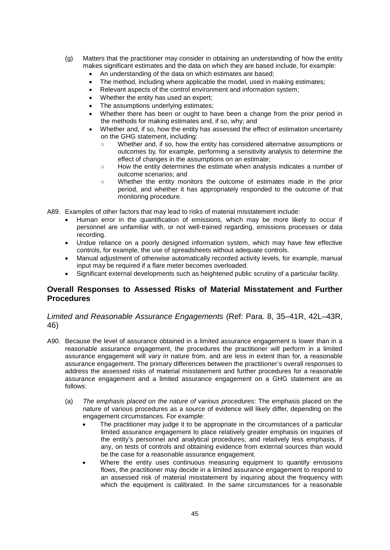- (g) Matters that the practitioner may consider in obtaining an understanding of how the entity makes significant estimates and the data on which they are based include, for example:
	- An understanding of the data on which estimates are based;
	- The method, including where applicable the model, used in making estimates;
	- Relevant aspects of the control environment and information system;
	- Whether the entity has used an expert:
	- The assumptions underlying estimates;
	- Whether there has been or ought to have been a change from the prior period in the methods for making estimates and, if so, why; and
	- Whether and, if so, how the entity has assessed the effect of estimation uncertainty on the GHG statement, including:
		- Whether and, if so, how the entity has considered alternative assumptions or outcomes by, for example, performing a sensitivity analysis to determine the effect of changes in the assumptions on an estimate;
		- How the entity determines the estimate when analysis indicates a number of outcome scenarios; and
		- Whether the entity monitors the outcome of estimates made in the prior period, and whether it has appropriately responded to the outcome of that monitoring procedure.
- A89. Examples of other factors that may lead to risks of material misstatement include:
	- Human error in the quantification of emissions, which may be more likely to occur if personnel are unfamiliar with, or not well-trained regarding, emissions processes or data recording.
	- Undue reliance on a poorly designed information system, which may have few effective controls, for example, the use of spreadsheets without adequate controls.
	- Manual adjustment of otherwise automatically recorded activity levels, for example, manual input may be required if a flare meter becomes overloaded.
	- Significant external developments such as heightened public scrutiny of a particular facility.

## **Overall Responses to Assessed Risks of Material Misstatement and Further Procedures**

## *Limited and Reasonable Assurance Engagements* (Ref: Para. 8, 35–41R, 42L–43R, 46)

- A90. Because the level of assurance obtained in a limited assurance engagement is lower than in a reasonable assurance engagement, the procedures the practitioner will perform in a limited assurance engagement will vary in nature from, and are less in extent than for, a reasonable assurance engagement. The primary differences between the practitioner's overall responses to address the assessed risks of material misstatement and further procedures for a reasonable assurance engagement and a limited assurance engagement on a GHG statement are as follows:
	- (a) *The emphasis placed on the nature of various procedures*: The emphasis placed on the nature of various procedures as a source of evidence will likely differ, depending on the engagement circumstances. For example:
		- The practitioner may judge it to be appropriate in the circumstances of a particular limited assurance engagement to place relatively greater emphasis on inquiries of the entity's personnel and analytical procedures, and relatively less emphasis, if any, on tests of controls and obtaining evidence from external sources than would be the case for a reasonable assurance engagement.
		- Where the entity uses continuous measuring equipment to quantify emissions flows, the practitioner may decide in a limited assurance engagement to respond to an assessed risk of material misstatement by inquiring about the frequency with which the equipment is calibrated. In the same circumstances for a reasonable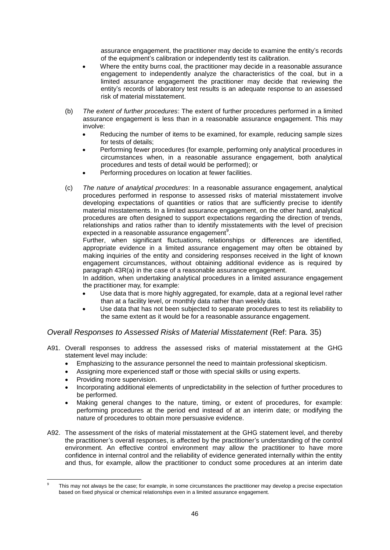assurance engagement, the practitioner may decide to examine the entity's records of the equipment's calibration or independently test its calibration.

- Where the entity burns coal, the practitioner may decide in a reasonable assurance engagement to independently analyze the characteristics of the coal, but in a limited assurance engagement the practitioner may decide that reviewing the entity's records of laboratory test results is an adequate response to an assessed risk of material misstatement.
- (b) *The extent of further procedures*: The extent of further procedures performed in a limited assurance engagement is less than in a reasonable assurance engagement. This may involve:
	- Reducing the number of items to be examined, for example, reducing sample sizes for tests of details;
	- Performing fewer procedures (for example, performing only analytical procedures in circumstances when, in a reasonable assurance engagement, both analytical procedures and tests of detail would be performed); or
	- Performing procedures on location at fewer facilities.
- (c) *The nature of analytical procedures*: In a reasonable assurance engagement, analytical procedures performed in response to assessed risks of material misstatement involve developing expectations of quantities or ratios that are sufficiently precise to identify material misstatements. In a limited assurance engagement, on the other hand, analytical procedures are often designed to support expectations regarding the direction of trends, relationships and ratios rather than to identify misstatements with the level of precision expected in a reasonable assurance engagement<sup>9</sup>.

Further, when significant fluctuations, relationships or differences are identified, appropriate evidence in a limited assurance engagement may often be obtained by making inquiries of the entity and considering responses received in the light of known engagement circumstances, without obtaining additional evidence as is required by paragraph 43R(a) in the case of a reasonable assurance engagement.

In addition, when undertaking analytical procedures in a limited assurance engagement the practitioner may, for example:

- Use data that is more highly aggregated, for example, data at a regional level rather than at a facility level, or monthly data rather than weekly data.
- Use data that has not been subjected to separate procedures to test its reliability to the same extent as it would be for a reasonable assurance engagement.

## *Overall Responses to Assessed Risks of Material Misstatement* (Ref: Para. 35)

- A91. Overall responses to address the assessed risks of material misstatement at the GHG statement level may include:
	- Emphasizing to the assurance personnel the need to maintain professional skepticism.
	- Assigning more experienced staff or those with special skills or using experts.
	- Providing more supervision.
	- Incorporating additional elements of unpredictability in the selection of further procedures to be performed.
	- Making general changes to the nature, timing, or extent of procedures, for example: performing procedures at the period end instead of at an interim date; or modifying the nature of procedures to obtain more persuasive evidence.
- A92. The assessment of the risks of material misstatement at the GHG statement level, and thereby the practitioner's overall responses, is affected by the practitioner's understanding of the control environment. An effective control environment may allow the practitioner to have more confidence in internal control and the reliability of evidence generated internally within the entity and thus, for example, allow the practitioner to conduct some procedures at an interim date

<sup>1</sup> 9 This may not always be the case; for example, in some circumstances the practitioner may develop a precise expectation based on fixed physical or chemical relationships even in a limited assurance engagement.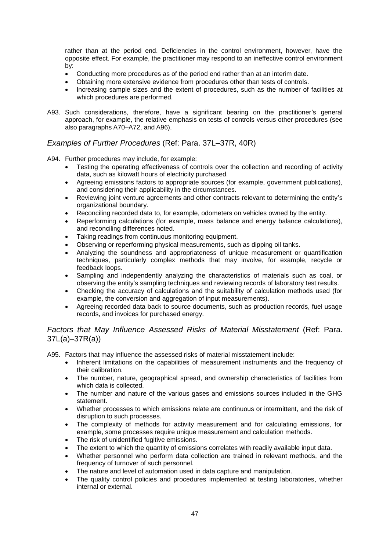rather than at the period end. Deficiencies in the control environment, however, have the opposite effect. For example, the practitioner may respond to an ineffective control environment by:

- Conducting more procedures as of the period end rather than at an interim date.
- Obtaining more extensive evidence from procedures other than tests of controls.
- Increasing sample sizes and the extent of procedures, such as the number of facilities at which procedures are performed.
- A93. Such considerations, therefore, have a significant bearing on the practitioner's general approach, for example, the relative emphasis on tests of controls versus other procedures (see also paragraphs A70–A72, and A96).

## *Examples of Further Procedures* (Ref: Para. 37L–37R, 40R)

- A94. Further procedures may include, for example:
	- Testing the operating effectiveness of controls over the collection and recording of activity data, such as kilowatt hours of electricity purchased.
	- Agreeing emissions factors to appropriate sources (for example, government publications), and considering their applicability in the circumstances.
	- Reviewing joint venture agreements and other contracts relevant to determining the entity's organizational boundary.
	- Reconciling recorded data to, for example, odometers on vehicles owned by the entity.
	- Reperforming calculations (for example, mass balance and energy balance calculations), and reconciling differences noted.
	- Taking readings from continuous monitoring equipment.
	- Observing or reperforming physical measurements, such as dipping oil tanks.
	- Analyzing the soundness and appropriateness of unique measurement or quantification techniques, particularly complex methods that may involve, for example, recycle or feedback loops.
	- Sampling and independently analyzing the characteristics of materials such as coal, or observing the entity's sampling techniques and reviewing records of laboratory test results.
	- Checking the accuracy of calculations and the suitability of calculation methods used (for example, the conversion and aggregation of input measurements).
	- Agreeing recorded data back to source documents, such as production records, fuel usage records, and invoices for purchased energy.

## *Factors that May Influence Assessed Risks of Material Misstatement* (Ref: Para. 37L(a)–37R(a))

- A95. Factors that may influence the assessed risks of material misstatement include:
	- Inherent limitations on the capabilities of measurement instruments and the frequency of their calibration.
	- The number, nature, geographical spread, and ownership characteristics of facilities from which data is collected.
	- The number and nature of the various gases and emissions sources included in the GHG statement.
	- Whether processes to which emissions relate are continuous or intermittent, and the risk of disruption to such processes.
	- The complexity of methods for activity measurement and for calculating emissions, for example, some processes require unique measurement and calculation methods.
	- The risk of unidentified fugitive emissions.
	- The extent to which the quantity of emissions correlates with readily available input data.
	- Whether personnel who perform data collection are trained in relevant methods, and the frequency of turnover of such personnel.
	- The nature and level of automation used in data capture and manipulation.
	- The quality control policies and procedures implemented at testing laboratories, whether internal or external.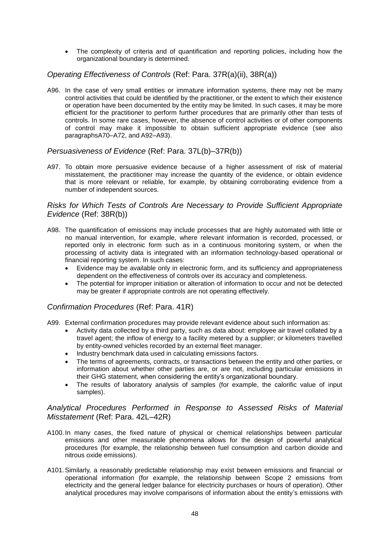The complexity of criteria and of quantification and reporting policies, including how the organizational boundary is determined.

## *Operating Effectiveness of Controls* (Ref: Para. 37R(a)(ii), 38R(a))

A96. In the case of very small entities or immature information systems, there may not be many control activities that could be identified by the practitioner, or the extent to which their existence or operation have been documented by the entity may be limited. In such cases, it may be more efficient for the practitioner to perform further procedures that are primarily other than tests of controls. In some rare cases, however, the absence of control activities or of other components of control may make it impossible to obtain sufficient appropriate evidence (see also paragraphsA70–A72, and A92–A93).

## *Persuasiveness of Evidence* (Ref: Para. 37L(b)–37R(b))

A97. To obtain more persuasive evidence because of a higher assessment of risk of material misstatement, the practitioner may increase the quantity of the evidence, or obtain evidence that is more relevant or reliable, for example, by obtaining corroborating evidence from a number of independent sources.

## *Risks for Which Tests of Controls Are Necessary to Provide Sufficient Appropriate Evidence* (Ref: 38R(b))

- A98. The quantification of emissions may include processes that are highly automated with little or no manual intervention, for example, where relevant information is recorded, processed, or reported only in electronic form such as in a continuous monitoring system, or when the processing of activity data is integrated with an information technology-based operational or financial reporting system. In such cases:
	- Evidence may be available only in electronic form, and its sufficiency and appropriateness dependent on the effectiveness of controls over its accuracy and completeness.
	- The potential for improper initiation or alteration of information to occur and not be detected may be greater if appropriate controls are not operating effectively.

## *Confirmation Procedures* (Ref: Para. 41R)

- A99. External confirmation procedures may provide relevant evidence about such information as:
	- Activity data collected by a third party, such as data about: employee air travel collated by a travel agent; the inflow of energy to a facility metered by a supplier; or kilometers travelled by entity-owned vehicles recorded by an external fleet manager.
	- Industry benchmark data used in calculating emissions factors.
	- The terms of agreements, contracts, or transactions between the entity and other parties, or information about whether other parties are, or are not, including particular emissions in their GHG statement, when considering the entity's organizational boundary.
	- The results of laboratory analysis of samples (for example, the calorific value of input samples).

## *Analytical Procedures Performed in Response to Assessed Risks of Material Misstatement* (Ref: Para. 42L–42R)

- A100.In many cases, the fixed nature of physical or chemical relationships between particular emissions and other measurable phenomena allows for the design of powerful analytical procedures (for example, the relationship between fuel consumption and carbon dioxide and nitrous oxide emissions).
- A101.Similarly, a reasonably predictable relationship may exist between emissions and financial or operational information (for example, the relationship between Scope 2 emissions from electricity and the general ledger balance for electricity purchases or hours of operation). Other analytical procedures may involve comparisons of information about the entity's emissions with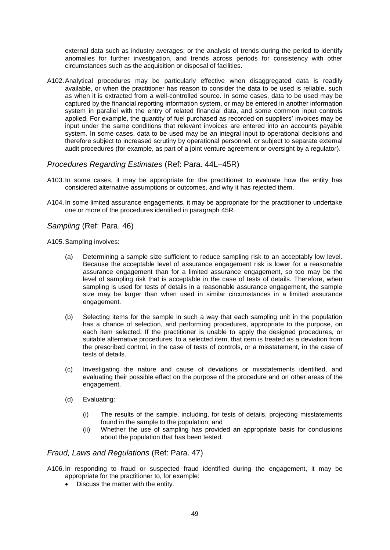external data such as industry averages; or the analysis of trends during the period to identify anomalies for further investigation, and trends across periods for consistency with other circumstances such as the acquisition or disposal of facilities.

A102.Analytical procedures may be particularly effective when disaggregated data is readily available, or when the practitioner has reason to consider the data to be used is reliable, such as when it is extracted from a well-controlled source. In some cases, data to be used may be captured by the financial reporting information system, or may be entered in another information system in parallel with the entry of related financial data, and some common input controls applied. For example, the quantity of fuel purchased as recorded on suppliers' invoices may be input under the same conditions that relevant invoices are entered into an accounts payable system. In some cases, data to be used may be an integral input to operational decisions and therefore subject to increased scrutiny by operational personnel, or subject to separate external audit procedures (for example, as part of a joint venture agreement or oversight by a regulator).

#### *Procedures Regarding Estimates* (Ref: Para. 44L–45R)

- A103.In some cases, it may be appropriate for the practitioner to evaluate how the entity has considered alternative assumptions or outcomes, and why it has rejected them.
- A104.In some limited assurance engagements, it may be appropriate for the practitioner to undertake one or more of the procedures identified in paragraph 45R.

#### *Sampling* (Ref: Para. 46)

A105.Sampling involves:

- (a) Determining a sample size sufficient to reduce sampling risk to an acceptably low level. Because the acceptable level of assurance engagement risk is lower for a reasonable assurance engagement than for a limited assurance engagement, so too may be the level of sampling risk that is acceptable in the case of tests of details. Therefore, when sampling is used for tests of details in a reasonable assurance engagement, the sample size may be larger than when used in similar circumstances in a limited assurance engagement.
- (b) Selecting items for the sample in such a way that each sampling unit in the population has a chance of selection, and performing procedures, appropriate to the purpose, on each item selected. If the practitioner is unable to apply the designed procedures, or suitable alternative procedures, to a selected item, that item is treated as a deviation from the prescribed control, in the case of tests of controls, or a misstatement, in the case of tests of details.
- (c) Investigating the nature and cause of deviations or misstatements identified, and evaluating their possible effect on the purpose of the procedure and on other areas of the engagement.
- (d) Evaluating:
	- (i) The results of the sample, including, for tests of details, projecting misstatements found in the sample to the population; and
	- (ii) Whether the use of sampling has provided an appropriate basis for conclusions about the population that has been tested.

#### *Fraud, Laws and Regulations* (Ref: Para. 47)

- A106.In responding to fraud or suspected fraud identified during the engagement, it may be appropriate for the practitioner to, for example:
	- Discuss the matter with the entity.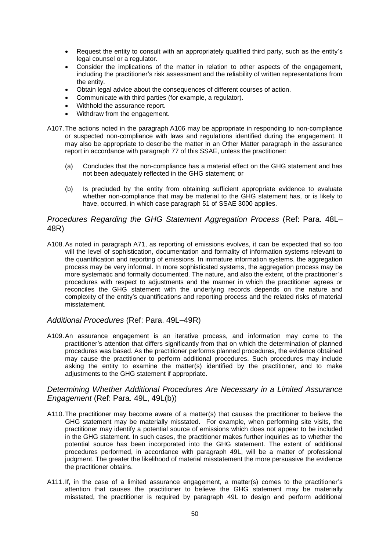- Request the entity to consult with an appropriately qualified third party, such as the entity's legal counsel or a regulator.
- Consider the implications of the matter in relation to other aspects of the engagement, including the practitioner's risk assessment and the reliability of written representations from the entity.
- Obtain legal advice about the consequences of different courses of action.
- Communicate with third parties (for example, a regulator).
- Withhold the assurance report.
- Withdraw from the engagement.
- A107.The actions noted in the paragraph A106 may be appropriate in responding to non-compliance or suspected non-compliance with laws and regulations identified during the engagement. It may also be appropriate to describe the matter in an Other Matter paragraph in the assurance report in accordance with paragraph 77 of this SSAE, unless the practitioner:
	- (a) Concludes that the non-compliance has a material effect on the GHG statement and has not been adequately reflected in the GHG statement; or
	- (b) Is precluded by the entity from obtaining sufficient appropriate evidence to evaluate whether non-compliance that may be material to the GHG statement has, or is likely to have, occurred, in which case paragraph 51 of SSAE 3000 applies.

## *Procedures Regarding the GHG Statement Aggregation Process* (Ref: Para. 48L– 48R)

A108.As noted in paragraph A71, as reporting of emissions evolves, it can be expected that so too will the level of sophistication, documentation and formality of information systems relevant to the quantification and reporting of emissions. In immature information systems, the aggregation process may be very informal. In more sophisticated systems, the aggregation process may be more systematic and formally documented. The nature, and also the extent, of the practitioner's procedures with respect to adjustments and the manner in which the practitioner agrees or reconciles the GHG statement with the underlying records depends on the nature and complexity of the entity's quantifications and reporting process and the related risks of material misstatement.

## *Additional Procedures* (Ref: Para. 49L–49R)

A109.An assurance engagement is an iterative process, and information may come to the practitioner's attention that differs significantly from that on which the determination of planned procedures was based. As the practitioner performs planned procedures, the evidence obtained may cause the practitioner to perform additional procedures. Such procedures may include asking the entity to examine the matter(s) identified by the practitioner, and to make adjustments to the GHG statement if appropriate.

## *Determining Whether Additional Procedures Are Necessary in a Limited Assurance Engagement* (Ref: Para. 49L, 49L(b))

- A110.The practitioner may become aware of a matter(s) that causes the practitioner to believe the GHG statement may be materially misstated. For example, when performing site visits, the practitioner may identify a potential source of emissions which does not appear to be included in the GHG statement. In such cases, the practitioner makes further inquiries as to whether the potential source has been incorporated into the GHG statement. The extent of additional procedures performed, in accordance with paragraph 49L, will be a matter of professional judgment. The greater the likelihood of material misstatement the more persuasive the evidence the practitioner obtains.
- A111.If, in the case of a limited assurance engagement, a matter(s) comes to the practitioner's attention that causes the practitioner to believe the GHG statement may be materially misstated, the practitioner is required by paragraph 49L to design and perform additional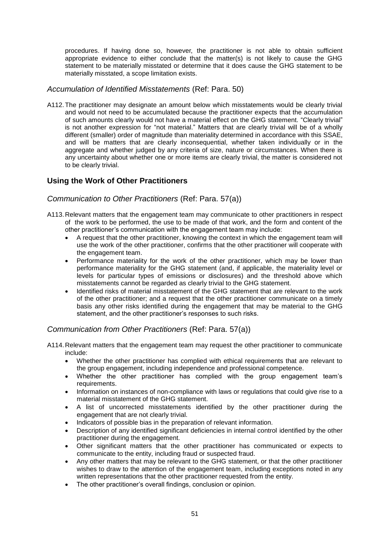procedures. If having done so, however, the practitioner is not able to obtain sufficient appropriate evidence to either conclude that the matter(s) is not likely to cause the GHG statement to be materially misstated or determine that it does cause the GHG statement to be materially misstated, a scope limitation exists.

## *Accumulation of Identified Misstatements* (Ref: Para. 50)

A112.The practitioner may designate an amount below which misstatements would be clearly trivial and would not need to be accumulated because the practitioner expects that the accumulation of such amounts clearly would not have a material effect on the GHG statement. "Clearly trivial" is not another expression for "not material." Matters that are clearly trivial will be of a wholly different (smaller) order of magnitude than materiality determined in accordance with this SSAE, and will be matters that are clearly inconsequential, whether taken individually or in the aggregate and whether judged by any criteria of size, nature or circumstances. When there is any uncertainty about whether one or more items are clearly trivial, the matter is considered not to be clearly trivial.

## **Using the Work of Other Practitioners**

## *Communication to Other Practitioners* (Ref: Para. 57(a))

- A113.Relevant matters that the engagement team may communicate to other practitioners in respect of the work to be performed, the use to be made of that work, and the form and content of the other practitioner's communication with the engagement team may include:
	- A request that the other practitioner, knowing the context in which the engagement team will use the work of the other practitioner, confirms that the other practitioner will cooperate with the engagement team.
	- Performance materiality for the work of the other practitioner, which may be lower than performance materiality for the GHG statement (and, if applicable, the materiality level or levels for particular types of emissions or disclosures) and the threshold above which misstatements cannot be regarded as clearly trivial to the GHG statement.
	- Identified risks of material misstatement of the GHG statement that are relevant to the work of the other practitioner; and a request that the other practitioner communicate on a timely basis any other risks identified during the engagement that may be material to the GHG statement, and the other practitioner's responses to such risks.

## *Communication from Other Practitioners* (Ref: Para. 57(a))

- A114.Relevant matters that the engagement team may request the other practitioner to communicate include:
	- Whether the other practitioner has complied with ethical requirements that are relevant to the group engagement, including independence and professional competence.
	- Whether the other practitioner has complied with the group engagement team's requirements.
	- Information on instances of non-compliance with laws or regulations that could give rise to a material misstatement of the GHG statement.
	- A list of uncorrected misstatements identified by the other practitioner during the engagement that are not clearly trivial.
	- Indicators of possible bias in the preparation of relevant information.
	- Description of any identified significant deficiencies in internal control identified by the other practitioner during the engagement.
	- Other significant matters that the other practitioner has communicated or expects to communicate to the entity, including fraud or suspected fraud.
	- Any other matters that may be relevant to the GHG statement, or that the other practitioner wishes to draw to the attention of the engagement team, including exceptions noted in any written representations that the other practitioner requested from the entity.
	- The other practitioner's overall findings, conclusion or opinion.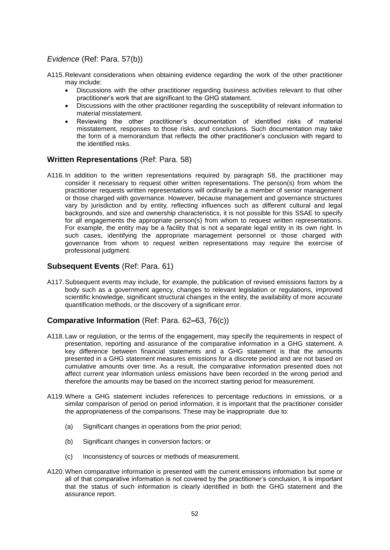## *Evidence* (Ref: Para. 57(b))

A115.Relevant considerations when obtaining evidence regarding the work of the other practitioner may include:

- Discussions with the other practitioner regarding business activities relevant to that other practitioner's work that are significant to the GHG statement.
- Discussions with the other practitioner regarding the susceptibility of relevant information to material misstatement.
- Reviewing the other practitioner's documentation of identified risks of material misstatement, responses to those risks, and conclusions. Such documentation may take the form of a memorandum that reflects the other practitioner's conclusion with regard to the identified risks.

## **Written Representations** (Ref: Para. 58)

A116.In addition to the written representations required by paragraph 58, the practitioner may consider it necessary to request other written representations. The person(s) from whom the practitioner requests written representations will ordinarily be a member of senior management or those charged with governance. However, because management and governance structures vary by jurisdiction and by entity, reflecting influences such as different cultural and legal backgrounds, and size and ownership characteristics, it is not possible for this SSAE to specify for all engagements the appropriate person(s) from whom to request written representations. For example, the entity may be a facility that is not a separate legal entity in its own right. In such cases, identifying the appropriate management personnel or those charged with governance from whom to request written representations may require the exercise of professional judgment.

## **Subsequent Events** (Ref: Para. 61)

A117.Subsequent events may include, for example, the publication of revised emissions factors by a body such as a government agency, changes to relevant legislation or regulations, improved scientific knowledge, significant structural changes in the entity, the availability of more accurate quantification methods, or the discovery of a significant error.

## **Comparative Information** (Ref: Para. 62*–*63, 76(c))

- A118.Law or regulation, or the terms of the engagement, may specify the requirements in respect of presentation, reporting and assurance of the comparative information in a GHG statement. A key difference between financial statements and a GHG statement is that the amounts presented in a GHG statement measures emissions for a discrete period and are not based on cumulative amounts over time. As a result, the comparative information presented does not affect current year information unless emissions have been recorded in the wrong period and therefore the amounts may be based on the incorrect starting period for measurement.
- A119.Where a GHG statement includes references to percentage reductions in emissions, or a similar comparison of period on period information, it is important that the practitioner consider the appropriateness of the comparisons. These may be inappropriate due to:
	- (a) Significant changes in operations from the prior period;
	- (b) Significant changes in conversion factors; or
	- (c) Inconsistency of sources or methods of measurement.
- A120.When comparative information is presented with the current emissions information but some or all of that comparative information is not covered by the practitioner's conclusion, it is important that the status of such information is clearly identified in both the GHG statement and the assurance report.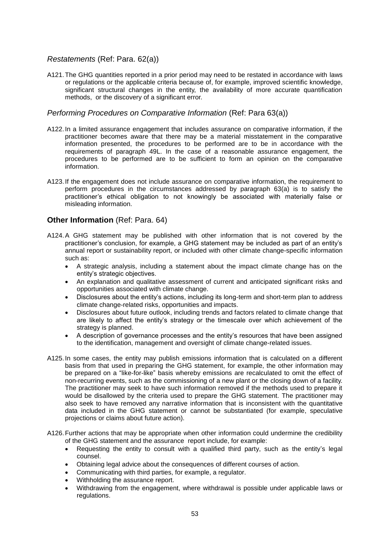## *Restatements* (Ref: Para. 62(a))

A121.The GHG quantities reported in a prior period may need to be restated in accordance with laws or regulations or the applicable criteria because of, for example, improved scientific knowledge, significant structural changes in the entity, the availability of more accurate quantification methods, or the discovery of a significant error.

## *Performing Procedures on Comparative Information (Ref: Para 63(a))*

- A122.In a limited assurance engagement that includes assurance on comparative information, if the practitioner becomes aware that there may be a material misstatement in the comparative information presented, the procedures to be performed are to be in accordance with the requirements of paragraph 49L. In the case of a reasonable assurance engagement, the procedures to be performed are to be sufficient to form an opinion on the comparative information.
- A123.If the engagement does not include assurance on comparative information, the requirement to perform procedures in the circumstances addressed by paragraph 63(a) is to satisfy the practitioner's ethical obligation to not knowingly be associated with materially false or misleading information.

## **Other Information (Ref: Para. 64)**

- A124.A GHG statement may be published with other information that is not covered by the practitioner's conclusion, for example, a GHG statement may be included as part of an entity's annual report or sustainability report, or included with other climate change-specific information such as:
	- A strategic analysis, including a statement about the impact climate change has on the entity's strategic objectives.
	- An explanation and qualitative assessment of current and anticipated significant risks and opportunities associated with climate change.
	- Disclosures about the entity's actions, including its long-term and short-term plan to address climate change-related risks, opportunities and impacts.
	- Disclosures about future outlook, including trends and factors related to climate change that are likely to affect the entity's strategy or the timescale over which achievement of the strategy is planned.
	- A description of governance processes and the entity's resources that have been assigned to the identification, management and oversight of climate change-related issues.
- A125.In some cases, the entity may publish emissions information that is calculated on a different basis from that used in preparing the GHG statement, for example, the other information may be prepared on a "like-for-like" basis whereby emissions are recalculated to omit the effect of non-recurring events, such as the commissioning of a new plant or the closing down of a facility. The practitioner may seek to have such information removed if the methods used to prepare it would be disallowed by the criteria used to prepare the GHG statement. The practitioner may also seek to have removed any narrative information that is inconsistent with the quantitative data included in the GHG statement or cannot be substantiated (for example, speculative projections or claims about future action).
- A126.Further actions that may be appropriate when other information could undermine the credibility of the GHG statement and the assurance report include, for example:
	- Requesting the entity to consult with a qualified third party, such as the entity's legal counsel.
	- Obtaining legal advice about the consequences of different courses of action.
	- Communicating with third parties, for example, a regulator.
	- Withholding the assurance report.
	- Withdrawing from the engagement, where withdrawal is possible under applicable laws or regulations.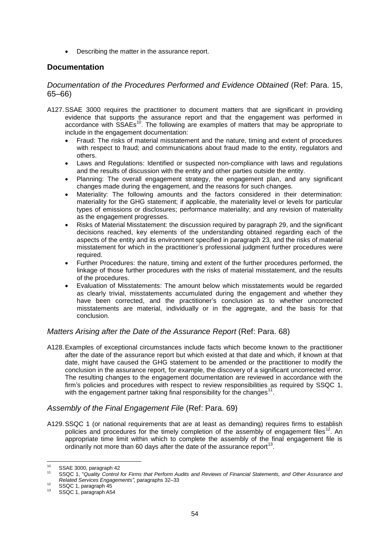Describing the matter in the assurance report.

## **Documentation**

*Documentation of the Procedures Performed and Evidence Obtained* (Ref: Para. 15, 65–66)

- A127.SSAE 3000 requires the practitioner to document matters that are significant in providing evidence that supports the assurance report and that the engagement was performed in accordance with SSAEs<sup>10</sup>. The following are examples of matters that may be appropriate to include in the engagement documentation:
	- Fraud: The risks of material misstatement and the nature, timing and extent of procedures with respect to fraud; and communications about fraud made to the entity, regulators and others.
	- Laws and Regulations: Identified or suspected non-compliance with laws and regulations and the results of discussion with the entity and other parties outside the entity.
	- Planning: The overall engagement strategy, the engagement plan, and any significant changes made during the engagement, and the reasons for such changes.
	- Materiality: The following amounts and the factors considered in their determination: materiality for the GHG statement; if applicable, the materiality level or levels for particular types of emissions or disclosures; performance materiality; and any revision of materiality as the engagement progresses.
	- Risks of Material Misstatement: the discussion required by paragraph 29, and the significant decisions reached, key elements of the understanding obtained regarding each of the aspects of the entity and its environment specified in paragraph 23, and the risks of material misstatement for which in the practitioner's professional judgment further procedures were required.
	- Further Procedures: the nature, timing and extent of the further procedures performed, the linkage of those further procedures with the risks of material misstatement, and the results of the procedures.
	- Evaluation of Misstatements: The amount below which misstatements would be regarded as clearly trivial, misstatements accumulated during the engagement and whether they have been corrected, and the practitioner's conclusion as to whether uncorrected misstatements are material, individually or in the aggregate, and the basis for that conclusion.

## *Matters Arising after the Date of the Assurance Report* (Ref: Para. 68)

A128.Examples of exceptional circumstances include facts which become known to the practitioner after the date of the assurance report but which existed at that date and which, if known at that date, might have caused the GHG statement to be amended or the practitioner to modify the conclusion in the assurance report, for example, the discovery of a significant uncorrected error. The resulting changes to the engagement documentation are reviewed in accordance with the firm's policies and procedures with respect to review responsibilities as required by SSQC 1, with the engagement partner taking final responsibility for the changes<sup>1</sup> .

## *Assembly of the Final Engagement File* (Ref: Para. 69)

A129.SSQC 1 (or national requirements that are at least as demanding) requires firms to establish policies and procedures for the timely completion of the assembly of engagement files<sup>12</sup>. An appropriate time limit within which to complete the assembly of the final engagement file is ordinarily not more than 60 days after the date of the assurance report<sup>13</sup>.

 $10<sup>10</sup>$ <sup>10</sup> SSAE 3000, paragraph 42<br><sup>11</sup> SSOC 4 "Quality Cantral"

<sup>11</sup> SSQC 1, "*Quality Control for Firms that Perform Audits and Reviews of Financial Statements, and Other Assurance and Related Services Engagements",* paragraphs 32–33

Related Services Engal<br>
SSQC 1, paragraph 45<br>
<sup>13</sup> 8988 1, paragraph 45

SSQC 1, paragraph A54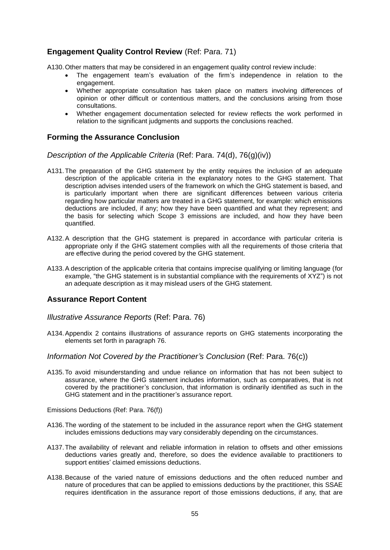## **Engagement Quality Control Review** (Ref: Para. 71)

A130.Other matters that may be considered in an engagement quality control review include:

- The engagement team's evaluation of the firm's independence in relation to the engagement.
- Whether appropriate consultation has taken place on matters involving differences of opinion or other difficult or contentious matters, and the conclusions arising from those consultations.
- Whether engagement documentation selected for review reflects the work performed in relation to the significant judgments and supports the conclusions reached.

## **Forming the Assurance Conclusion**

*Description of the Applicable Criteria* (Ref: Para. 74(d), 76(g)(iv))

- A131.The preparation of the GHG statement by the entity requires the inclusion of an adequate description of the applicable criteria in the explanatory notes to the GHG statement. That description advises intended users of the framework on which the GHG statement is based, and is particularly important when there are significant differences between various criteria regarding how particular matters are treated in a GHG statement, for example: which emissions deductions are included, if any; how they have been quantified and what they represent; and the basis for selecting which Scope 3 emissions are included, and how they have been quantified.
- A132.A description that the GHG statement is prepared in accordance with particular criteria is appropriate only if the GHG statement complies with all the requirements of those criteria that are effective during the period covered by the GHG statement.
- A133.A description of the applicable criteria that contains imprecise qualifying or limiting language (for example, "the GHG statement is in substantial compliance with the requirements of XYZ") is not an adequate description as it may mislead users of the GHG statement.

## **Assurance Report Content**

#### *Illustrative Assurance Reports* (Ref: Para. 76)

A134.Appendix 2 contains illustrations of assurance reports on GHG statements incorporating the elements set forth in paragraph 76.

#### *Information Not Covered by the Practitioner's Conclusion (Ref: Para. 76(c))*

A135.To avoid misunderstanding and undue reliance on information that has not been subject to assurance, where the GHG statement includes information, such as comparatives, that is not covered by the practitioner's conclusion, that information is ordinarily identified as such in the GHG statement and in the practitioner's assurance report.

Emissions Deductions (Ref: Para. 76(f))

- A136.The wording of the statement to be included in the assurance report when the GHG statement includes emissions deductions may vary considerably depending on the circumstances.
- A137.The availability of relevant and reliable information in relation to offsets and other emissions deductions varies greatly and, therefore, so does the evidence available to practitioners to support entities' claimed emissions deductions.
- A138.Because of the varied nature of emissions deductions and the often reduced number and nature of procedures that can be applied to emissions deductions by the practitioner, this SSAE requires identification in the assurance report of those emissions deductions, if any, that are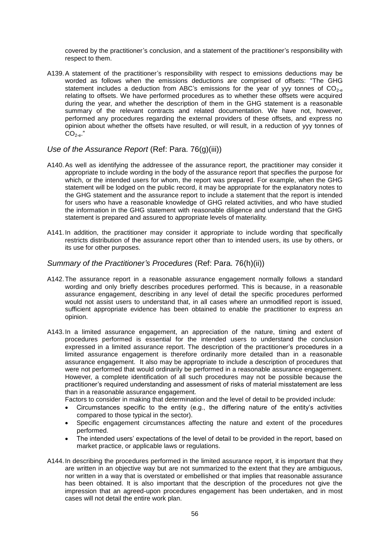covered by the practitioner's conclusion, and a statement of the practitioner's responsibility with respect to them.

A139.A statement of the practitioner's responsibility with respect to emissions deductions may be worded as follows when the emissions deductions are comprised of offsets: "The GHG statement includes a deduction from ABC's emissions for the year of yyy tonnes of  $CO<sub>2-e</sub>$ relating to offsets. We have performed procedures as to whether these offsets were acquired during the year, and whether the description of them in the GHG statement is a reasonable summary of the relevant contracts and related documentation. We have not, however, performed any procedures regarding the external providers of these offsets, and express no opinion about whether the offsets have resulted, or will result, in a reduction of yyy tonnes of  $CO<sub>2-e</sub>$ ."

## *Use of the Assurance Report* (Ref: Para. 76(g)(iii))

- A140.As well as identifying the addressee of the assurance report, the practitioner may consider it appropriate to include wording in the body of the assurance report that specifies the purpose for which, or the intended users for whom, the report was prepared. For example, when the GHG statement will be lodged on the public record, it may be appropriate for the explanatory notes to the GHG statement and the assurance report to include a statement that the report is intended for users who have a reasonable knowledge of GHG related activities, and who have studied the information in the GHG statement with reasonable diligence and understand that the GHG statement is prepared and assured to appropriate levels of materiality.
- A141.In addition, the practitioner may consider it appropriate to include wording that specifically restricts distribution of the assurance report other than to intended users, its use by others, or its use for other purposes.

#### *Summary of the Practitioner's Procedures* (Ref: Para. 76(h)(ii))

- A142.The assurance report in a reasonable assurance engagement normally follows a standard wording and only briefly describes procedures performed. This is because, in a reasonable assurance engagement, describing in any level of detail the specific procedures performed would not assist users to understand that, in all cases where an unmodified report is issued, sufficient appropriate evidence has been obtained to enable the practitioner to express an opinion.
- A143.In a limited assurance engagement, an appreciation of the nature, timing and extent of procedures performed is essential for the intended users to understand the conclusion expressed in a limited assurance report. The description of the practitioner's procedures in a limited assurance engagement is therefore ordinarily more detailed than in a reasonable assurance engagement. It also may be appropriate to include a description of procedures that were not performed that would ordinarily be performed in a reasonable assurance engagement. However, a complete identification of all such procedures may not be possible because the practitioner's required understanding and assessment of risks of material misstatement are less than in a reasonable assurance engagement.

Factors to consider in making that determination and the level of detail to be provided include:

- Circumstances specific to the entity (e.g., the differing nature of the entity's activities compared to those typical in the sector).
- Specific engagement circumstances affecting the nature and extent of the procedures performed.
- The intended users' expectations of the level of detail to be provided in the report, based on market practice, or applicable laws or regulations.
- A144.In describing the procedures performed in the limited assurance report, it is important that they are written in an objective way but are not summarized to the extent that they are ambiguous, nor written in a way that is overstated or embellished or that implies that reasonable assurance has been obtained. It is also important that the description of the procedures not give the impression that an agreed-upon procedures engagement has been undertaken, and in most cases will not detail the entire work plan.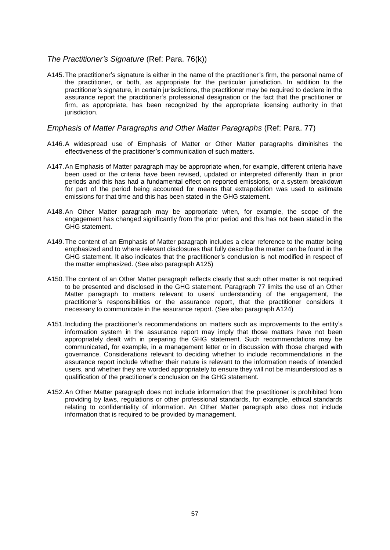## *The Practitioner's Signature* (Ref: Para. 76(k))

A145.The practitioner's signature is either in the name of the practitioner's firm, the personal name of the practitioner, or both, as appropriate for the particular jurisdiction. In addition to the practitioner's signature, in certain jurisdictions, the practitioner may be required to declare in the assurance report the practitioner's professional designation or the fact that the practitioner or firm, as appropriate, has been recognized by the appropriate licensing authority in that jurisdiction.

## *Emphasis of Matter Paragraphs and Other Matter Paragraphs* (Ref: Para. 77)

- A146.A widespread use of Emphasis of Matter or Other Matter paragraphs diminishes the effectiveness of the practitioner's communication of such matters.
- A147.An Emphasis of Matter paragraph may be appropriate when, for example, different criteria have been used or the criteria have been revised, updated or interpreted differently than in prior periods and this has had a fundamental effect on reported emissions, or a system breakdown for part of the period being accounted for means that extrapolation was used to estimate emissions for that time and this has been stated in the GHG statement.
- A148.An Other Matter paragraph may be appropriate when, for example, the scope of the engagement has changed significantly from the prior period and this has not been stated in the GHG statement.
- A149.The content of an Emphasis of Matter paragraph includes a clear reference to the matter being emphasized and to where relevant disclosures that fully describe the matter can be found in the GHG statement. It also indicates that the practitioner's conclusion is not modified in respect of the matter emphasized. (See also paragraph A125)
- A150.The content of an Other Matter paragraph reflects clearly that such other matter is not required to be presented and disclosed in the GHG statement. Paragraph 77 limits the use of an Other Matter paragraph to matters relevant to users' understanding of the engagement, the practitioner's responsibilities or the assurance report, that the practitioner considers it necessary to communicate in the assurance report. (See also paragraph A124)
- A151.Including the practitioner's recommendations on matters such as improvements to the entity's information system in the assurance report may imply that those matters have not been appropriately dealt with in preparing the GHG statement. Such recommendations may be communicated, for example, in a management letter or in discussion with those charged with governance. Considerations relevant to deciding whether to include recommendations in the assurance report include whether their nature is relevant to the information needs of intended users, and whether they are worded appropriately to ensure they will not be misunderstood as a qualification of the practitioner's conclusion on the GHG statement.
- A152.An Other Matter paragraph does not include information that the practitioner is prohibited from providing by laws, regulations or other professional standards, for example, ethical standards relating to confidentiality of information. An Other Matter paragraph also does not include information that is required to be provided by management.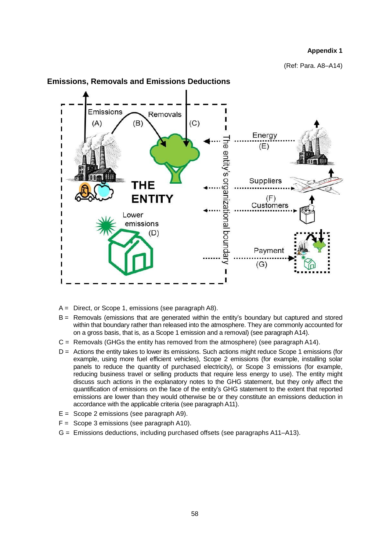(Ref: Para. A8–A14)



#### **Emissions, Removals and Emissions Deductions**

- A = Direct, or Scope 1, emissions (see paragraph A8).
- B = Removals (emissions that are generated within the entity's boundary but captured and stored within that boundary rather than released into the atmosphere. They are commonly accounted for on a gross basis, that is, as a Scope 1 emission and a removal) (see paragraph A14).
- $C =$  Removals (GHGs the entity has removed from the atmosphere) (see paragraph A14).
- D = Actions the entity takes to lower its emissions. Such actions might reduce Scope 1 emissions (for example, using more fuel efficient vehicles), Scope 2 emissions (for example, installing solar panels to reduce the quantity of purchased electricity), or Scope 3 emissions (for example, reducing business travel or selling products that require less energy to use). The entity might discuss such actions in the explanatory notes to the GHG statement, but they only affect the quantification of emissions on the face of the entity's GHG statement to the extent that reported emissions are lower than they would otherwise be or they constitute an emissions deduction in accordance with the applicable criteria (see paragraph A11).
- E = Scope 2 emissions (see paragraph A9).
- $F =$  Scope 3 emissions (see paragraph A10).
- G = Emissions deductions, including purchased offsets (see paragraphs A11–A13).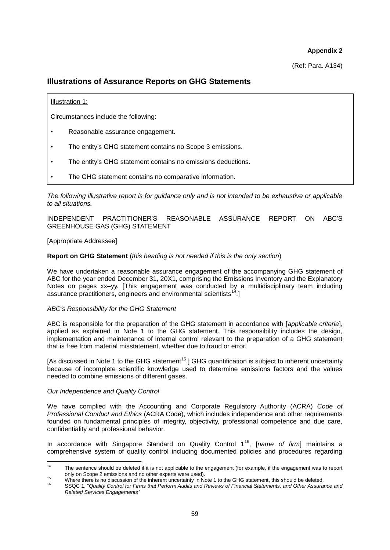## **Illustrations of Assurance Reports on GHG Statements**

#### Illustration 1:

Circumstances include the following:

- *•* Reasonable assurance engagement.
- *•* The entity's GHG statement contains no Scope 3 emissions.
- *•* The entity's GHG statement contains no emissions deductions.
- *•* The GHG statement contains no comparative information.

*The following illustrative report is for guidance only and is not intended to be exhaustive or applicable to all situations.*

#### INDEPENDENT PRACTITIONER'S REASONABLE ASSURANCE REPORT ON ABC'S GREENHOUSE GAS (GHG) STATEMENT

#### [Appropriate Addressee]

#### **Report on GHG Statement** (*this heading is not needed if this is the only section*)

We have undertaken a reasonable assurance engagement of the accompanying GHG statement of ABC for the year ended December 31, 20X1, comprising the Emissions Inventory and the Explanatory Notes on pages xx–yy. [This engagement was conducted by a multidisciplinary team including assurance practitioners, engineers and environmental scientists<sup>14</sup> .]

#### *ABC's Responsibility for the GHG Statement*

ABC is responsible for the preparation of the GHG statement in accordance with [*applicable criteria*], applied as explained in Note 1 to the GHG statement. This responsibility includes the design, implementation and maintenance of internal control relevant to the preparation of a GHG statement that is free from material misstatement, whether due to fraud or error.

[As discussed in Note 1 to the GHG statement<sup>15</sup>,] GHG quantification is subject to inherent uncertainty because of incomplete scientific knowledge used to determine emissions factors and the values needed to combine emissions of different gases.

#### *Our Independence and Quality Control*

We have complied with the Accounting and Corporate Regulatory Authority (ACRA) *Code of Professional Conduct and Ethics* (ACRA Code), which includes independence and other requirements founded on fundamental principles of integrity, objectivity, professional competence and due care, confidentiality and professional behavior.

In accordance with Singapore Standard on Quality Control 1<sup>16</sup>, [name of firm] maintains a comprehensive system of quality control including documented policies and procedures regarding

 $14$ The sentence should be deleted if it is not applicable to the engagement (for example, if the engagement was to report only on Scope 2 emissions and no other experts were used).

<sup>&</sup>lt;sup>15</sup><br><sup>15</sup> Where there is no discussion of the inherent uncertainty in Note 1 to the GHG statement, this should be deleted.

<sup>16</sup> SSQC 1, "*Quality Control for Firms that Perform Audits and Reviews of Financial Statements, and Other Assurance and Related Services Engagements"*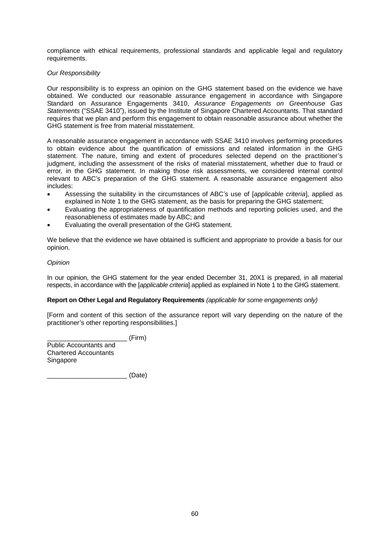compliance with ethical requirements, professional standards and applicable legal and regulatory requirements.

#### *Our Responsibility*

Our responsibility is to express an opinion on the GHG statement based on the evidence we have obtained. We conducted our reasonable assurance engagement in accordance with Singapore Standard on Assurance Engagements 3410, *Assurance Engagements on Greenhouse Gas Statements* ("SSAE 3410"), issued by the Institute of Singapore Chartered Accountants. That standard requires that we plan and perform this engagement to obtain reasonable assurance about whether the GHG statement is free from material misstatement.

A reasonable assurance engagement in accordance with SSAE 3410 involves performing procedures to obtain evidence about the quantification of emissions and related information in the GHG statement. The nature, timing and extent of procedures selected depend on the practitioner's judgment, including the assessment of the risks of material misstatement, whether due to fraud or error, in the GHG statement. In making those risk assessments, we considered internal control relevant to ABC's preparation of the GHG statement. A reasonable assurance engagement also includes:

- Assessing the suitability in the circumstances of ABC's use of [*applicable criteria*], applied as explained in Note 1 to the GHG statement, as the basis for preparing the GHG statement;
- Evaluating the appropriateness of quantification methods and reporting policies used, and the reasonableness of estimates made by ABC; and
- Evaluating the overall presentation of the GHG statement.

We believe that the evidence we have obtained is sufficient and appropriate to provide a basis for our opinion.

#### *Opinion*

In our opinion, the GHG statement for the year ended December 31, 20X1 is prepared, in all material respects, in accordance with the [*applicable criteria*] applied as explained in Note 1 to the GHG statement.

#### **Report on Other Legal and Regulatory Requirements** *(applicable for some engagements only)*

[Form and content of this section of the assurance report will vary depending on the nature of the practitioner's other reporting responsibilities.]

 $(Firm)$ Public Accountants and Chartered Accountants Singapore

\_\_\_\_\_\_\_\_\_\_\_\_\_\_\_\_\_\_\_\_\_\_ (Date)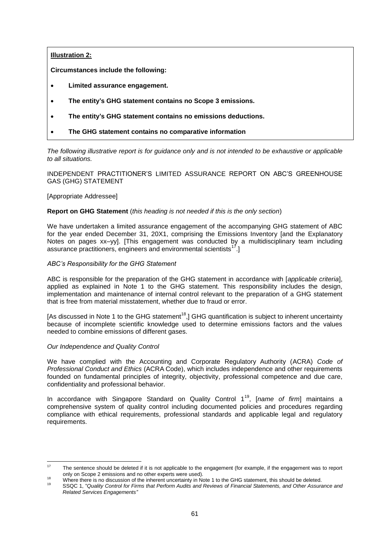#### **Illustration 2:**

**Circumstances include the following:**

- **Limited assurance engagement.**
- **The entity's GHG statement contains no Scope 3 emissions.**
- **The entity's GHG statement contains no emissions deductions.**
- **The GHG statement contains no comparative information**

*The following illustrative report is for guidance only and is not intended to be exhaustive or applicable to all situations.*

INDEPENDENT PRACTITIONER'S LIMITED ASSURANCE REPORT ON ABC'S GREENHOUSE GAS (GHG) STATEMENT

#### [Appropriate Addressee]

#### **Report on GHG Statement** (*this heading is not needed if this is the only section*)

We have undertaken a limited assurance engagement of the accompanying GHG statement of ABC for the year ended December 31, 20X1, comprising the Emissions Inventory [and the Explanatory Notes on pages xx-yy]. [This engagement was conducted by a multidisciplinary team including assurance practitioners, engineers and environmental scientists<sup>17</sup>.]

#### *ABC's Responsibility for the GHG Statement*

ABC is responsible for the preparation of the GHG statement in accordance with [*applicable criteria*], applied as explained in Note 1 to the GHG statement. This responsibility includes the design, implementation and maintenance of internal control relevant to the preparation of a GHG statement that is free from material misstatement, whether due to fraud or error.

[As discussed in Note 1 to the GHG statement<sup>18</sup>,] GHG quantification is subject to inherent uncertainty because of incomplete scientific knowledge used to determine emissions factors and the values needed to combine emissions of different gases.

#### *Our Independence and Quality Control*

We have complied with the Accounting and Corporate Regulatory Authority (ACRA) *Code of Professional Conduct and Ethics* (ACRA Code), which includes independence and other requirements founded on fundamental principles of integrity, objectivity, professional competence and due care, confidentiality and professional behavior.

In accordance with Singapore Standard on Quality Control 1<sup>19</sup>, [name of firm] maintains a comprehensive system of quality control including documented policies and procedures regarding compliance with ethical requirements, professional standards and applicable legal and regulatory requirements.

 $17$ The sentence should be deleted if it is not applicable to the engagement (for example, if the engagement was to report only on Scope 2 emissions and no other experts were used).

<sup>18</sup> Where there is no discussion of the inherent uncertainty in Note 1 to the GHG statement, this should be deleted.<br>
2000 1.

<sup>19</sup> SSQC 1, "*Quality Control for Firms that Perform Audits and Reviews of Financial Statements, and Other Assurance and Related Services Engagements"*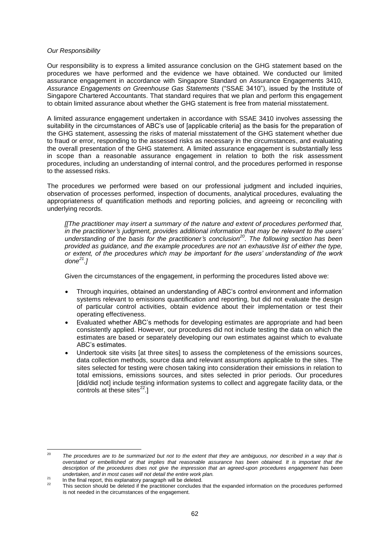#### *Our Responsibility*

Our responsibility is to express a limited assurance conclusion on the GHG statement based on the procedures we have performed and the evidence we have obtained. We conducted our limited assurance engagement in accordance with Singapore Standard on Assurance Engagements 3410, *Assurance Engagements on Greenhouse Gas Statements* ("SSAE 3410"), issued by the Institute of Singapore Chartered Accountants. That standard requires that we plan and perform this engagement to obtain limited assurance about whether the GHG statement is free from material misstatement.

A limited assurance engagement undertaken in accordance with SSAE 3410 involves assessing the suitability in the circumstances of ABC's use of [applicable criteria] as the basis for the preparation of the GHG statement, assessing the risks of material misstatement of the GHG statement whether due to fraud or error, responding to the assessed risks as necessary in the circumstances, and evaluating the overall presentation of the GHG statement. A limited assurance engagement is substantially less in scope than a reasonable assurance engagement in relation to both the risk assessment procedures, including an understanding of internal control, and the procedures performed in response to the assessed risks.

The procedures we performed were based on our professional judgment and included inquiries, observation of processes performed, inspection of documents, analytical procedures, evaluating the appropriateness of quantification methods and reporting policies, and agreeing or reconciling with underlying records.

*[[The practitioner may insert a summary of the nature and extent of procedures performed that, in the practitioner's judgment, provides additional information that may be relevant to the users' understanding of the basis for the practitioner's conclusion<sup>20</sup> . The following section has been provided as guidance, and the example procedures are not an exhaustive list of either the type, or extent, of the procedures which may be important for the users' understanding of the work done<sup>21</sup>.]*

Given the circumstances of the engagement, in performing the procedures listed above we:

- Through inquiries, obtained an understanding of ABC's control environment and information systems relevant to emissions quantification and reporting, but did not evaluate the design of particular control activities, obtain evidence about their implementation or test their operating effectiveness.
- Evaluated whether ABC's methods for developing estimates are appropriate and had been consistently applied. However, our procedures did not include testing the data on which the estimates are based or separately developing our own estimates against which to evaluate ABC's estimates.
- Undertook site visits [at three sites] to assess the completeness of the emissions sources, data collection methods, source data and relevant assumptions applicable to the sites. The sites selected for testing were chosen taking into consideration their emissions in relation to total emissions, emissions sources, and sites selected in prior periods. Our procedures [did/did not] include testing information systems to collect and aggregate facility data, or the controls at these sites $^{22}$ .]

 $20$ The procedures are to be summarized but not to the extent that they are ambiguous, nor described in a way that is *overstated or embellished or that implies that reasonable assurance has been obtained. It is important that the description of the procedures does not give the impression that an agreed-upon procedures engagement has been undertaken, and in most cases will not detail the entire work plan.* 21

 $\frac{21}{22}$  In the final report, this explanatory paragraph will be deleted.

<sup>22</sup> This section should be deleted if the practitioner concludes that the expanded information on the procedures performed is not needed in the circumstances of the engagement.